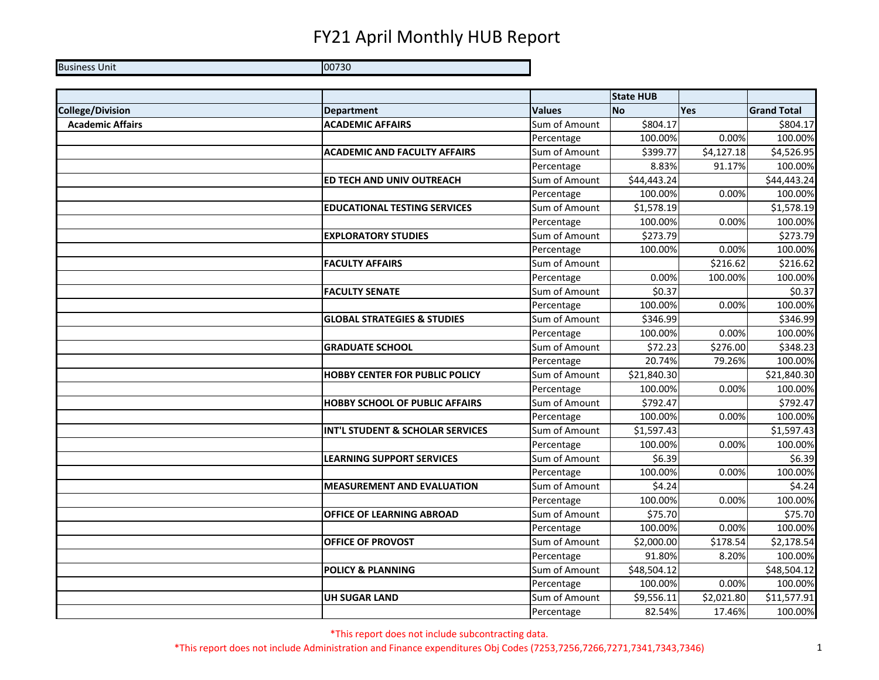Business Unit 00730

|                         |                                        |               | <b>State HUB</b> |                      |                    |
|-------------------------|----------------------------------------|---------------|------------------|----------------------|--------------------|
| <b>College/Division</b> | <b>Department</b>                      | <b>Values</b> | <b>No</b>        | Yes                  | <b>Grand Total</b> |
| <b>Academic Affairs</b> | <b>ACADEMIC AFFAIRS</b>                | Sum of Amount | \$804.17         |                      | \$804.17           |
|                         |                                        | Percentage    | 100.00%          | 0.00%                | 100.00%            |
|                         | <b>ACADEMIC AND FACULTY AFFAIRS</b>    | Sum of Amount | \$399.77         | \$4,127.18           | \$4,526.95         |
|                         |                                        | Percentage    | 8.83%            | 91.17%               | 100.00%            |
|                         | <b>ED TECH AND UNIV OUTREACH</b>       | Sum of Amount | \$44,443.24      |                      | \$44,443.24        |
|                         |                                        | Percentage    | 100.00%          | 0.00%                | 100.00%            |
|                         | <b>EDUCATIONAL TESTING SERVICES</b>    | Sum of Amount | \$1,578.19       |                      | \$1,578.19         |
|                         |                                        | Percentage    | 100.00%          | 0.00%                | 100.00%            |
|                         | <b>EXPLORATORY STUDIES</b>             | Sum of Amount | \$273.79         |                      | \$273.79           |
|                         |                                        | Percentage    | 100.00%          | 0.00%                | 100.00%            |
|                         | <b>FACULTY AFFAIRS</b>                 | Sum of Amount |                  | \$216.62             | \$216.62           |
|                         |                                        | Percentage    | 0.00%            | 100.00%              | 100.00%            |
|                         | <b>FACULTY SENATE</b>                  | Sum of Amount | \$0.37           |                      | \$0.37             |
|                         |                                        | Percentage    | 100.00%          | 0.00%                | 100.00%            |
|                         | <b>GLOBAL STRATEGIES &amp; STUDIES</b> | Sum of Amount | \$346.99         |                      | \$346.99           |
|                         |                                        | Percentage    | 100.00%          | 0.00%                | 100.00%            |
|                         | <b>GRADUATE SCHOOL</b>                 | Sum of Amount | \$72.23          | $\overline{$}276.00$ | \$348.23           |
|                         |                                        | Percentage    | 20.74%           | 79.26%               | 100.00%            |
|                         | <b>HOBBY CENTER FOR PUBLIC POLICY</b>  | Sum of Amount | \$21,840.30      |                      | \$21,840.30        |
|                         |                                        | Percentage    | 100.00%          | 0.00%                | 100.00%            |
|                         | <b>HOBBY SCHOOL OF PUBLIC AFFAIRS</b>  | Sum of Amount | \$792.47         |                      | \$792.47           |
|                         |                                        | Percentage    | 100.00%          | 0.00%                | 100.00%            |
|                         | INT'L STUDENT & SCHOLAR SERVICES       | Sum of Amount | \$1,597.43       |                      | \$1,597.43         |
|                         |                                        | Percentage    | 100.00%          | 0.00%                | 100.00%            |
|                         | <b>LEARNING SUPPORT SERVICES</b>       | Sum of Amount | \$6.39           |                      | \$6.39             |
|                         |                                        | Percentage    | 100.00%          | 0.00%                | 100.00%            |
|                         | <b>MEASUREMENT AND EVALUATION</b>      | Sum of Amount | \$4.24           |                      | \$4.24             |
|                         |                                        | Percentage    | 100.00%          | 0.00%                | 100.00%            |
|                         | <b>OFFICE OF LEARNING ABROAD</b>       | Sum of Amount | \$75.70          |                      | \$75.70            |
|                         |                                        | Percentage    | 100.00%          | 0.00%                | 100.00%            |
|                         | OFFICE OF PROVOST                      | Sum of Amount | \$2,000.00       | \$178.54             | \$2,178.54         |
|                         |                                        | Percentage    | 91.80%           | 8.20%                | 100.00%            |
|                         | <b>POLICY &amp; PLANNING</b>           | Sum of Amount | \$48,504.12      |                      | \$48,504.12        |
|                         |                                        | Percentage    | 100.00%          | 0.00%                | 100.00%            |
|                         | <b>UH SUGAR LAND</b>                   | Sum of Amount | \$9,556.11       | \$2,021.80           | \$11,577.91        |
|                         |                                        | Percentage    | 82.54%           | 17.46%               | 100.00%            |

\*This report does not include subcontracting data.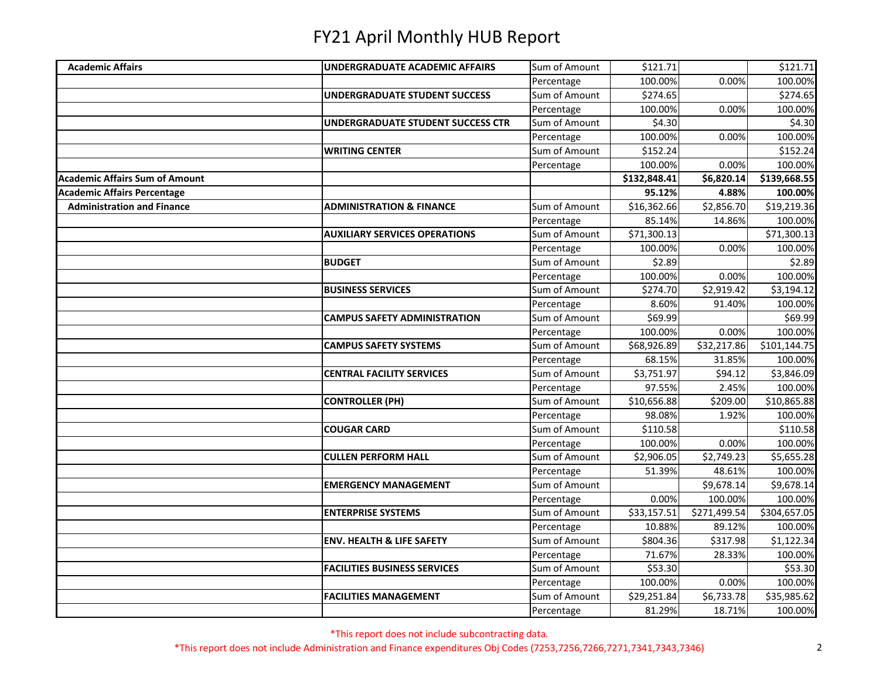| Sum of Amount<br><b>Academic Affairs</b><br>UNDERGRADUATE ACADEMIC AFFAIRS<br>\$121.71<br>0.00%<br>100.00%<br>Percentage<br>\$274.65<br>Sum of Amount<br>UNDERGRADUATE STUDENT SUCCESS<br>100.00%<br>0.00%<br>Percentage<br>Sum of Amount<br>\$4.30<br>UNDERGRADUATE STUDENT SUCCESS CTR<br>100.00%<br>0.00%<br>Percentage<br>Sum of Amount<br><b>WRITING CENTER</b><br>\$152.24<br>100.00%<br>0.00%<br>Percentage<br><b>Academic Affairs Sum of Amount</b><br>\$132,848.41<br>\$6,820.14<br>95.12%<br><b>Academic Affairs Percentage</b><br>4.88%<br>\$2,856.70<br><b>Administration and Finance</b><br>Sum of Amount<br>\$16,362.66<br><b>ADMINISTRATION &amp; FINANCE</b><br>Percentage<br>85.14%<br>14.86%<br>Sum of Amount<br>\$71,300.13<br><b>AUXILIARY SERVICES OPERATIONS</b><br>Percentage<br>0.00%<br>100.00%<br>Sum of Amount<br>\$2.89<br><b>BUDGET</b><br>100.00%<br>0.00%<br>Percentage<br>\$2,919.42<br><b>BUSINESS SERVICES</b><br>Sum of Amount<br>\$274.70<br>8.60%<br>91.40%<br>Percentage<br>Sum of Amount<br><b>CAMPUS SAFETY ADMINISTRATION</b><br>\$69.99<br>100.00%<br>0.00%<br>Percentage<br>Sum of Amount<br><b>CAMPUS SAFETY SYSTEMS</b><br>\$68,926.89<br>\$32,217.86<br>68.15%<br>31.85%<br>Percentage<br>Sum of Amount<br>\$3,751.97<br><b>CENTRAL FACILITY SERVICES</b><br>\$94.12<br>2.45%<br>97.55%<br>Percentage<br>Sum of Amount<br>\$10,656.88<br>\$209.00<br><b>CONTROLLER (PH)</b><br>1.92%<br>Percentage<br>98.08%<br>Sum of Amount<br>\$110.58<br><b>COUGAR CARD</b><br>100.00%<br>0.00%<br>Percentage<br>Sum of Amount<br>\$2,749.23<br><b>CULLEN PERFORM HALL</b><br>\$2,906.05<br>51.39%<br>48.61%<br>Percentage<br>Sum of Amount<br><b>EMERGENCY MANAGEMENT</b><br>\$9,678.14<br>0.00%<br>100.00%<br>Percentage<br>\$33,157.51<br>\$271,499.54<br>Sum of Amount<br><b>ENTERPRISE SYSTEMS</b><br>Percentage<br>10.88%<br>89.12%<br>Sum of Amount<br><b>ENV. HEALTH &amp; LIFE SAFETY</b><br>\$804.36<br>\$317.98<br>Percentage<br>71.67%<br>28.33%<br>Sum of Amount<br><b>FACILITIES BUSINESS SERVICES</b><br>\$53.30 |  |            |         |       |              |
|-------------------------------------------------------------------------------------------------------------------------------------------------------------------------------------------------------------------------------------------------------------------------------------------------------------------------------------------------------------------------------------------------------------------------------------------------------------------------------------------------------------------------------------------------------------------------------------------------------------------------------------------------------------------------------------------------------------------------------------------------------------------------------------------------------------------------------------------------------------------------------------------------------------------------------------------------------------------------------------------------------------------------------------------------------------------------------------------------------------------------------------------------------------------------------------------------------------------------------------------------------------------------------------------------------------------------------------------------------------------------------------------------------------------------------------------------------------------------------------------------------------------------------------------------------------------------------------------------------------------------------------------------------------------------------------------------------------------------------------------------------------------------------------------------------------------------------------------------------------------------------------------------------------------------------------------------------------------------------------------------------------------------------------------------------------------|--|------------|---------|-------|--------------|
|                                                                                                                                                                                                                                                                                                                                                                                                                                                                                                                                                                                                                                                                                                                                                                                                                                                                                                                                                                                                                                                                                                                                                                                                                                                                                                                                                                                                                                                                                                                                                                                                                                                                                                                                                                                                                                                                                                                                                                                                                                                                   |  |            |         |       | \$121.71     |
|                                                                                                                                                                                                                                                                                                                                                                                                                                                                                                                                                                                                                                                                                                                                                                                                                                                                                                                                                                                                                                                                                                                                                                                                                                                                                                                                                                                                                                                                                                                                                                                                                                                                                                                                                                                                                                                                                                                                                                                                                                                                   |  |            |         |       | 100.00%      |
|                                                                                                                                                                                                                                                                                                                                                                                                                                                                                                                                                                                                                                                                                                                                                                                                                                                                                                                                                                                                                                                                                                                                                                                                                                                                                                                                                                                                                                                                                                                                                                                                                                                                                                                                                                                                                                                                                                                                                                                                                                                                   |  |            |         |       | \$274.65     |
|                                                                                                                                                                                                                                                                                                                                                                                                                                                                                                                                                                                                                                                                                                                                                                                                                                                                                                                                                                                                                                                                                                                                                                                                                                                                                                                                                                                                                                                                                                                                                                                                                                                                                                                                                                                                                                                                                                                                                                                                                                                                   |  |            |         |       | 100.00%      |
|                                                                                                                                                                                                                                                                                                                                                                                                                                                                                                                                                                                                                                                                                                                                                                                                                                                                                                                                                                                                                                                                                                                                                                                                                                                                                                                                                                                                                                                                                                                                                                                                                                                                                                                                                                                                                                                                                                                                                                                                                                                                   |  |            |         |       | \$4.30       |
|                                                                                                                                                                                                                                                                                                                                                                                                                                                                                                                                                                                                                                                                                                                                                                                                                                                                                                                                                                                                                                                                                                                                                                                                                                                                                                                                                                                                                                                                                                                                                                                                                                                                                                                                                                                                                                                                                                                                                                                                                                                                   |  |            |         |       | 100.00%      |
|                                                                                                                                                                                                                                                                                                                                                                                                                                                                                                                                                                                                                                                                                                                                                                                                                                                                                                                                                                                                                                                                                                                                                                                                                                                                                                                                                                                                                                                                                                                                                                                                                                                                                                                                                                                                                                                                                                                                                                                                                                                                   |  |            |         |       | \$152.24     |
|                                                                                                                                                                                                                                                                                                                                                                                                                                                                                                                                                                                                                                                                                                                                                                                                                                                                                                                                                                                                                                                                                                                                                                                                                                                                                                                                                                                                                                                                                                                                                                                                                                                                                                                                                                                                                                                                                                                                                                                                                                                                   |  |            |         |       | 100.00%      |
|                                                                                                                                                                                                                                                                                                                                                                                                                                                                                                                                                                                                                                                                                                                                                                                                                                                                                                                                                                                                                                                                                                                                                                                                                                                                                                                                                                                                                                                                                                                                                                                                                                                                                                                                                                                                                                                                                                                                                                                                                                                                   |  |            |         |       | \$139,668.55 |
|                                                                                                                                                                                                                                                                                                                                                                                                                                                                                                                                                                                                                                                                                                                                                                                                                                                                                                                                                                                                                                                                                                                                                                                                                                                                                                                                                                                                                                                                                                                                                                                                                                                                                                                                                                                                                                                                                                                                                                                                                                                                   |  |            |         |       | 100.00%      |
|                                                                                                                                                                                                                                                                                                                                                                                                                                                                                                                                                                                                                                                                                                                                                                                                                                                                                                                                                                                                                                                                                                                                                                                                                                                                                                                                                                                                                                                                                                                                                                                                                                                                                                                                                                                                                                                                                                                                                                                                                                                                   |  |            |         |       | \$19,219.36  |
|                                                                                                                                                                                                                                                                                                                                                                                                                                                                                                                                                                                                                                                                                                                                                                                                                                                                                                                                                                                                                                                                                                                                                                                                                                                                                                                                                                                                                                                                                                                                                                                                                                                                                                                                                                                                                                                                                                                                                                                                                                                                   |  |            |         |       | 100.00%      |
|                                                                                                                                                                                                                                                                                                                                                                                                                                                                                                                                                                                                                                                                                                                                                                                                                                                                                                                                                                                                                                                                                                                                                                                                                                                                                                                                                                                                                                                                                                                                                                                                                                                                                                                                                                                                                                                                                                                                                                                                                                                                   |  |            |         |       | \$71,300.13  |
|                                                                                                                                                                                                                                                                                                                                                                                                                                                                                                                                                                                                                                                                                                                                                                                                                                                                                                                                                                                                                                                                                                                                                                                                                                                                                                                                                                                                                                                                                                                                                                                                                                                                                                                                                                                                                                                                                                                                                                                                                                                                   |  |            |         |       | 100.00%      |
|                                                                                                                                                                                                                                                                                                                                                                                                                                                                                                                                                                                                                                                                                                                                                                                                                                                                                                                                                                                                                                                                                                                                                                                                                                                                                                                                                                                                                                                                                                                                                                                                                                                                                                                                                                                                                                                                                                                                                                                                                                                                   |  |            |         |       | \$2.89       |
|                                                                                                                                                                                                                                                                                                                                                                                                                                                                                                                                                                                                                                                                                                                                                                                                                                                                                                                                                                                                                                                                                                                                                                                                                                                                                                                                                                                                                                                                                                                                                                                                                                                                                                                                                                                                                                                                                                                                                                                                                                                                   |  |            |         |       | 100.00%      |
|                                                                                                                                                                                                                                                                                                                                                                                                                                                                                                                                                                                                                                                                                                                                                                                                                                                                                                                                                                                                                                                                                                                                                                                                                                                                                                                                                                                                                                                                                                                                                                                                                                                                                                                                                                                                                                                                                                                                                                                                                                                                   |  |            |         |       | \$3,194.12   |
|                                                                                                                                                                                                                                                                                                                                                                                                                                                                                                                                                                                                                                                                                                                                                                                                                                                                                                                                                                                                                                                                                                                                                                                                                                                                                                                                                                                                                                                                                                                                                                                                                                                                                                                                                                                                                                                                                                                                                                                                                                                                   |  |            |         |       | 100.00%      |
|                                                                                                                                                                                                                                                                                                                                                                                                                                                                                                                                                                                                                                                                                                                                                                                                                                                                                                                                                                                                                                                                                                                                                                                                                                                                                                                                                                                                                                                                                                                                                                                                                                                                                                                                                                                                                                                                                                                                                                                                                                                                   |  |            |         |       | \$69.99      |
|                                                                                                                                                                                                                                                                                                                                                                                                                                                                                                                                                                                                                                                                                                                                                                                                                                                                                                                                                                                                                                                                                                                                                                                                                                                                                                                                                                                                                                                                                                                                                                                                                                                                                                                                                                                                                                                                                                                                                                                                                                                                   |  |            |         |       | 100.00%      |
|                                                                                                                                                                                                                                                                                                                                                                                                                                                                                                                                                                                                                                                                                                                                                                                                                                                                                                                                                                                                                                                                                                                                                                                                                                                                                                                                                                                                                                                                                                                                                                                                                                                                                                                                                                                                                                                                                                                                                                                                                                                                   |  |            |         |       | \$101,144.75 |
|                                                                                                                                                                                                                                                                                                                                                                                                                                                                                                                                                                                                                                                                                                                                                                                                                                                                                                                                                                                                                                                                                                                                                                                                                                                                                                                                                                                                                                                                                                                                                                                                                                                                                                                                                                                                                                                                                                                                                                                                                                                                   |  |            |         |       | 100.00%      |
|                                                                                                                                                                                                                                                                                                                                                                                                                                                                                                                                                                                                                                                                                                                                                                                                                                                                                                                                                                                                                                                                                                                                                                                                                                                                                                                                                                                                                                                                                                                                                                                                                                                                                                                                                                                                                                                                                                                                                                                                                                                                   |  |            |         |       | \$3,846.09   |
|                                                                                                                                                                                                                                                                                                                                                                                                                                                                                                                                                                                                                                                                                                                                                                                                                                                                                                                                                                                                                                                                                                                                                                                                                                                                                                                                                                                                                                                                                                                                                                                                                                                                                                                                                                                                                                                                                                                                                                                                                                                                   |  |            |         |       | 100.00%      |
|                                                                                                                                                                                                                                                                                                                                                                                                                                                                                                                                                                                                                                                                                                                                                                                                                                                                                                                                                                                                                                                                                                                                                                                                                                                                                                                                                                                                                                                                                                                                                                                                                                                                                                                                                                                                                                                                                                                                                                                                                                                                   |  |            |         |       | \$10,865.88  |
|                                                                                                                                                                                                                                                                                                                                                                                                                                                                                                                                                                                                                                                                                                                                                                                                                                                                                                                                                                                                                                                                                                                                                                                                                                                                                                                                                                                                                                                                                                                                                                                                                                                                                                                                                                                                                                                                                                                                                                                                                                                                   |  |            |         |       | 100.00%      |
|                                                                                                                                                                                                                                                                                                                                                                                                                                                                                                                                                                                                                                                                                                                                                                                                                                                                                                                                                                                                                                                                                                                                                                                                                                                                                                                                                                                                                                                                                                                                                                                                                                                                                                                                                                                                                                                                                                                                                                                                                                                                   |  |            |         |       | \$110.58     |
|                                                                                                                                                                                                                                                                                                                                                                                                                                                                                                                                                                                                                                                                                                                                                                                                                                                                                                                                                                                                                                                                                                                                                                                                                                                                                                                                                                                                                                                                                                                                                                                                                                                                                                                                                                                                                                                                                                                                                                                                                                                                   |  |            |         |       | 100.00%      |
|                                                                                                                                                                                                                                                                                                                                                                                                                                                                                                                                                                                                                                                                                                                                                                                                                                                                                                                                                                                                                                                                                                                                                                                                                                                                                                                                                                                                                                                                                                                                                                                                                                                                                                                                                                                                                                                                                                                                                                                                                                                                   |  |            |         |       | \$5,655.28   |
|                                                                                                                                                                                                                                                                                                                                                                                                                                                                                                                                                                                                                                                                                                                                                                                                                                                                                                                                                                                                                                                                                                                                                                                                                                                                                                                                                                                                                                                                                                                                                                                                                                                                                                                                                                                                                                                                                                                                                                                                                                                                   |  |            |         |       | 100.00%      |
|                                                                                                                                                                                                                                                                                                                                                                                                                                                                                                                                                                                                                                                                                                                                                                                                                                                                                                                                                                                                                                                                                                                                                                                                                                                                                                                                                                                                                                                                                                                                                                                                                                                                                                                                                                                                                                                                                                                                                                                                                                                                   |  |            |         |       | \$9,678.14   |
|                                                                                                                                                                                                                                                                                                                                                                                                                                                                                                                                                                                                                                                                                                                                                                                                                                                                                                                                                                                                                                                                                                                                                                                                                                                                                                                                                                                                                                                                                                                                                                                                                                                                                                                                                                                                                                                                                                                                                                                                                                                                   |  |            |         |       | 100.00%      |
|                                                                                                                                                                                                                                                                                                                                                                                                                                                                                                                                                                                                                                                                                                                                                                                                                                                                                                                                                                                                                                                                                                                                                                                                                                                                                                                                                                                                                                                                                                                                                                                                                                                                                                                                                                                                                                                                                                                                                                                                                                                                   |  |            |         |       | \$304,657.05 |
|                                                                                                                                                                                                                                                                                                                                                                                                                                                                                                                                                                                                                                                                                                                                                                                                                                                                                                                                                                                                                                                                                                                                                                                                                                                                                                                                                                                                                                                                                                                                                                                                                                                                                                                                                                                                                                                                                                                                                                                                                                                                   |  |            |         |       | 100.00%      |
|                                                                                                                                                                                                                                                                                                                                                                                                                                                                                                                                                                                                                                                                                                                                                                                                                                                                                                                                                                                                                                                                                                                                                                                                                                                                                                                                                                                                                                                                                                                                                                                                                                                                                                                                                                                                                                                                                                                                                                                                                                                                   |  |            |         |       | \$1,122.34   |
|                                                                                                                                                                                                                                                                                                                                                                                                                                                                                                                                                                                                                                                                                                                                                                                                                                                                                                                                                                                                                                                                                                                                                                                                                                                                                                                                                                                                                                                                                                                                                                                                                                                                                                                                                                                                                                                                                                                                                                                                                                                                   |  |            |         |       | 100.00%      |
|                                                                                                                                                                                                                                                                                                                                                                                                                                                                                                                                                                                                                                                                                                                                                                                                                                                                                                                                                                                                                                                                                                                                                                                                                                                                                                                                                                                                                                                                                                                                                                                                                                                                                                                                                                                                                                                                                                                                                                                                                                                                   |  |            |         |       | \$53.30      |
|                                                                                                                                                                                                                                                                                                                                                                                                                                                                                                                                                                                                                                                                                                                                                                                                                                                                                                                                                                                                                                                                                                                                                                                                                                                                                                                                                                                                                                                                                                                                                                                                                                                                                                                                                                                                                                                                                                                                                                                                                                                                   |  | Percentage | 100.00% | 0.00% | 100.00%      |
| \$29,251.84<br>\$6,733.78<br><b>FACILITIES MANAGEMENT</b><br>Sum of Amount                                                                                                                                                                                                                                                                                                                                                                                                                                                                                                                                                                                                                                                                                                                                                                                                                                                                                                                                                                                                                                                                                                                                                                                                                                                                                                                                                                                                                                                                                                                                                                                                                                                                                                                                                                                                                                                                                                                                                                                        |  |            |         |       | \$35,985.62  |
| 18.71%<br>Percentage<br>81.29%                                                                                                                                                                                                                                                                                                                                                                                                                                                                                                                                                                                                                                                                                                                                                                                                                                                                                                                                                                                                                                                                                                                                                                                                                                                                                                                                                                                                                                                                                                                                                                                                                                                                                                                                                                                                                                                                                                                                                                                                                                    |  |            |         |       | 100.00%      |

\*This report does not include subcontracting data.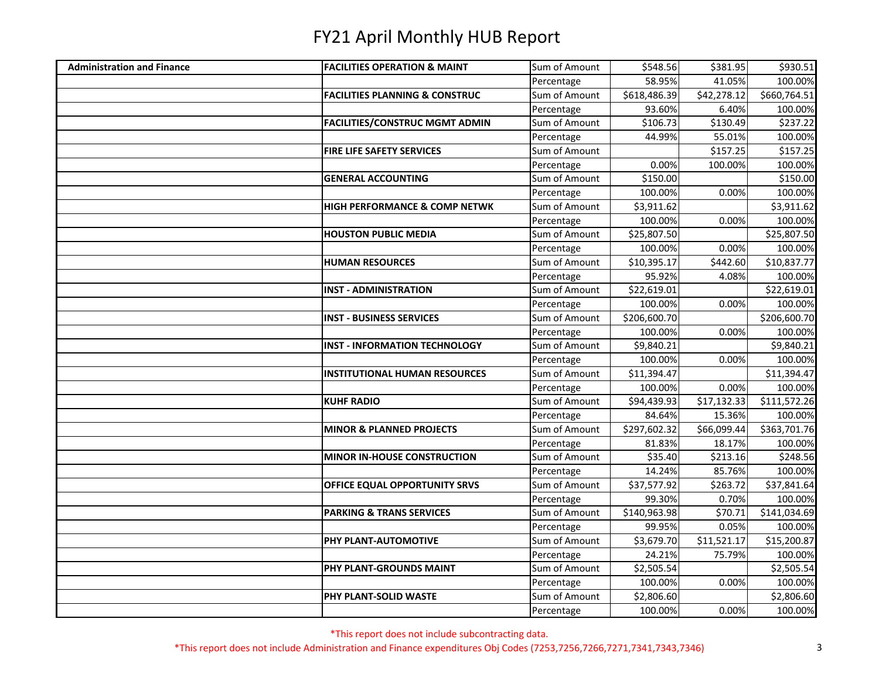| <b>Administration and Finance</b> | <b>FACILITIES OPERATION &amp; MAINT</b>   | Sum of Amount | \$548.56     | \$381.95    | \$930.51     |
|-----------------------------------|-------------------------------------------|---------------|--------------|-------------|--------------|
|                                   |                                           | Percentage    | 58.95%       | 41.05%      | 100.00%      |
|                                   | <b>FACILITIES PLANNING &amp; CONSTRUC</b> | Sum of Amount | \$618,486.39 | \$42,278.12 | \$660,764.51 |
|                                   |                                           | Percentage    | 93.60%       | 6.40%       | 100.00%      |
|                                   | <b>FACILITIES/CONSTRUC MGMT ADMIN</b>     | Sum of Amount | \$106.73     | \$130.49    | \$237.22     |
|                                   |                                           | Percentage    | 44.99%       | 55.01%      | 100.00%      |
|                                   | <b>FIRE LIFE SAFETY SERVICES</b>          | Sum of Amount |              | \$157.25    | \$157.25     |
|                                   |                                           | Percentage    | 0.00%        | 100.00%     | 100.00%      |
|                                   | <b>GENERAL ACCOUNTING</b>                 | Sum of Amount | \$150.00     |             | \$150.00     |
|                                   |                                           | Percentage    | 100.00%      | 0.00%       | 100.00%      |
|                                   | HIGH PERFORMANCE & COMP NETWK             | Sum of Amount | \$3,911.62   |             | \$3,911.62   |
|                                   |                                           | Percentage    | 100.00%      | 0.00%       | 100.00%      |
|                                   | <b>HOUSTON PUBLIC MEDIA</b>               | Sum of Amount | \$25,807.50  |             | \$25,807.50  |
|                                   |                                           | Percentage    | 100.00%      | 0.00%       | 100.00%      |
|                                   | <b>HUMAN RESOURCES</b>                    | Sum of Amount | \$10,395.17  | \$442.60    | \$10,837.77  |
|                                   |                                           | Percentage    | 95.92%       | 4.08%       | 100.00%      |
|                                   | <b>INST - ADMINISTRATION</b>              | Sum of Amount | \$22,619.01  |             | \$22,619.01  |
|                                   |                                           | Percentage    | 100.00%      | 0.00%       | 100.00%      |
|                                   | <b>INST - BUSINESS SERVICES</b>           | Sum of Amount | \$206,600.70 |             | \$206,600.70 |
|                                   |                                           | Percentage    | 100.00%      | 0.00%       | 100.00%      |
|                                   | <b>INST - INFORMATION TECHNOLOGY</b>      | Sum of Amount | \$9,840.21   |             | \$9,840.21   |
|                                   |                                           | Percentage    | 100.00%      | 0.00%       | 100.00%      |
|                                   | <b>INSTITUTIONAL HUMAN RESOURCES</b>      | Sum of Amount | \$11,394.47  |             | \$11,394.47  |
|                                   |                                           | Percentage    | 100.00%      | 0.00%       | 100.00%      |
|                                   | <b>KUHF RADIO</b>                         | Sum of Amount | \$94,439.93  | \$17,132.33 | \$111,572.26 |
|                                   |                                           | Percentage    | 84.64%       | 15.36%      | 100.00%      |
|                                   | <b>MINOR &amp; PLANNED PROJECTS</b>       | Sum of Amount | \$297,602.32 | \$66,099.44 | \$363,701.76 |
|                                   |                                           | Percentage    | 81.83%       | 18.17%      | 100.00%      |
|                                   | MINOR IN-HOUSE CONSTRUCTION               | Sum of Amount | \$35.40      | \$213.16    | \$248.56     |
|                                   |                                           | Percentage    | 14.24%       | 85.76%      | 100.00%      |
|                                   | OFFICE EQUAL OPPORTUNITY SRVS             | Sum of Amount | \$37,577.92  | \$263.72    | \$37,841.64  |
|                                   |                                           | Percentage    | 99.30%       | 0.70%       | 100.00%      |
|                                   | <b>PARKING &amp; TRANS SERVICES</b>       | Sum of Amount | \$140,963.98 | \$70.71     | \$141,034.69 |
|                                   |                                           | Percentage    | 99.95%       | 0.05%       | 100.00%      |
|                                   | PHY PLANT-AUTOMOTIVE                      | Sum of Amount | \$3,679.70   | \$11,521.17 | \$15,200.87  |
|                                   |                                           | Percentage    | 24.21%       | 75.79%      | 100.00%      |
|                                   | PHY PLANT-GROUNDS MAINT                   | Sum of Amount | \$2,505.54   |             | \$2,505.54   |
|                                   |                                           | Percentage    | 100.00%      | 0.00%       | 100.00%      |
|                                   | PHY PLANT-SOLID WASTE                     | Sum of Amount | \$2,806.60   |             | \$2,806.60   |
|                                   |                                           | Percentage    | 100.00%      | 0.00%       | 100.00%      |

\*This report does not include subcontracting data.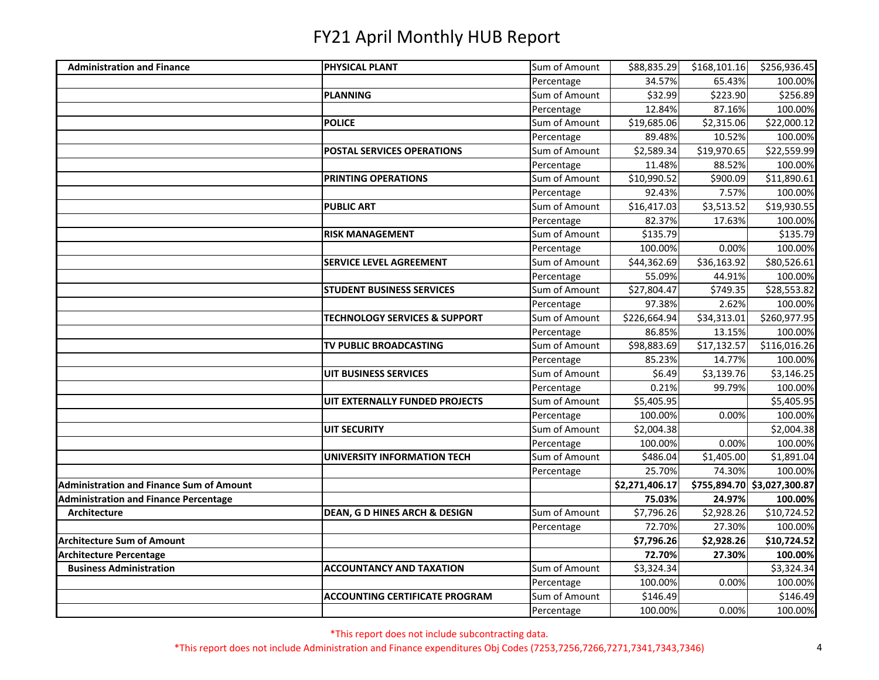| <b>Administration and Finance</b>               | <b>PHYSICAL PLANT</b>                    | Sum of Amount | \$88,835.29    | \$168,101.16           | \$256,936.45                |
|-------------------------------------------------|------------------------------------------|---------------|----------------|------------------------|-----------------------------|
|                                                 |                                          | Percentage    | 34.57%         | 65.43%                 | 100.00%                     |
|                                                 | PLANNING                                 | Sum of Amount | \$32.99        | \$223.90               | \$256.89                    |
|                                                 |                                          | Percentage    | 12.84%         | 87.16%                 | 100.00%                     |
|                                                 | <b>POLICE</b>                            | Sum of Amount | \$19,685.06    | \$2,315.06             | \$22,000.12                 |
|                                                 |                                          | Percentage    | 89.48%         | 10.52%                 | 100.00%                     |
|                                                 | <b>POSTAL SERVICES OPERATIONS</b>        | Sum of Amount | \$2,589.34     | \$19,970.65            | \$22,559.99                 |
|                                                 |                                          | Percentage    | 11.48%         | 88.52%                 | 100.00%                     |
|                                                 | <b>PRINTING OPERATIONS</b>               | Sum of Amount | \$10,990.52    | \$900.09               | \$11,890.61                 |
|                                                 |                                          | Percentage    | 92.43%         | 7.57%                  | 100.00%                     |
|                                                 | <b>PUBLIC ART</b>                        | Sum of Amount | \$16,417.03    | $\overline{$}3,513.52$ | \$19,930.55                 |
|                                                 |                                          | Percentage    | 82.37%         | 17.63%                 | 100.00%                     |
|                                                 | <b>RISK MANAGEMENT</b>                   | Sum of Amount | \$135.79       |                        | \$135.79                    |
|                                                 |                                          | Percentage    | 100.00%        | 0.00%                  | 100.00%                     |
|                                                 | <b>SERVICE LEVEL AGREEMENT</b>           | Sum of Amount | \$44,362.69    | \$36,163.92            | \$80,526.61                 |
|                                                 |                                          | Percentage    | 55.09%         | 44.91%                 | 100.00%                     |
|                                                 | <b>STUDENT BUSINESS SERVICES</b>         | Sum of Amount | \$27,804.47    | \$749.35               | \$28,553.82                 |
|                                                 |                                          | Percentage    | 97.38%         | 2.62%                  | 100.00%                     |
|                                                 | TECHNOLOGY SERVICES & SUPPORT            | Sum of Amount | \$226,664.94   | \$34,313.01            | \$260,977.95                |
|                                                 |                                          | Percentage    | 86.85%         | 13.15%                 | 100.00%                     |
|                                                 | TV PUBLIC BROADCASTING                   | Sum of Amount | \$98,883.69    | \$17,132.57            | \$116,016.26                |
|                                                 |                                          | Percentage    | 85.23%         | 14.77%                 | 100.00%                     |
|                                                 | <b>UIT BUSINESS SERVICES</b>             | Sum of Amount | \$6.49         | \$3,139.76             | \$3,146.25                  |
|                                                 |                                          | Percentage    | 0.21%          | 99.79%                 | 100.00%                     |
|                                                 | UIT EXTERNALLY FUNDED PROJECTS           | Sum of Amount | \$5,405.95     |                        | \$5,405.95                  |
|                                                 |                                          | Percentage    | 100.00%        | 0.00%                  | 100.00%                     |
|                                                 | <b>UIT SECURITY</b>                      | Sum of Amount | \$2,004.38     |                        | \$2,004.38                  |
|                                                 |                                          | Percentage    | 100.00%        | 0.00%                  | 100.00%                     |
|                                                 | UNIVERSITY INFORMATION TECH              | Sum of Amount | \$486.04       | \$1,405.00             | \$1,891.04                  |
|                                                 |                                          | Percentage    | 25.70%         | 74.30%                 | 100.00%                     |
| <b>Administration and Finance Sum of Amount</b> |                                          |               | \$2,271,406.17 |                        | \$755,894.70 \$3,027,300.87 |
| <b>Administration and Finance Percentage</b>    |                                          |               | 75.03%         | 24.97%                 | 100.00%                     |
| Architecture                                    | <b>DEAN, G D HINES ARCH &amp; DESIGN</b> | Sum of Amount | \$7,796.26     | \$2,928.26             | \$10,724.52                 |
|                                                 |                                          | Percentage    | 72.70%         | 27.30%                 | 100.00%                     |
| <b>Architecture Sum of Amount</b>               |                                          |               | \$7,796.26     | \$2,928.26             | \$10,724.52                 |
| <b>Architecture Percentage</b>                  |                                          |               | 72.70%         | 27.30%                 | 100.00%                     |
| <b>Business Administration</b>                  | <b>ACCOUNTANCY AND TAXATION</b>          | Sum of Amount | \$3,324.34     |                        | \$3,324.34                  |
|                                                 |                                          | Percentage    | 100.00%        | 0.00%                  | 100.00%                     |
|                                                 | <b>ACCOUNTING CERTIFICATE PROGRAM</b>    | Sum of Amount | \$146.49       |                        | \$146.49                    |
|                                                 |                                          | Percentage    | 100.00%        | 0.00%                  | 100.00%                     |

\*This report does not include subcontracting data.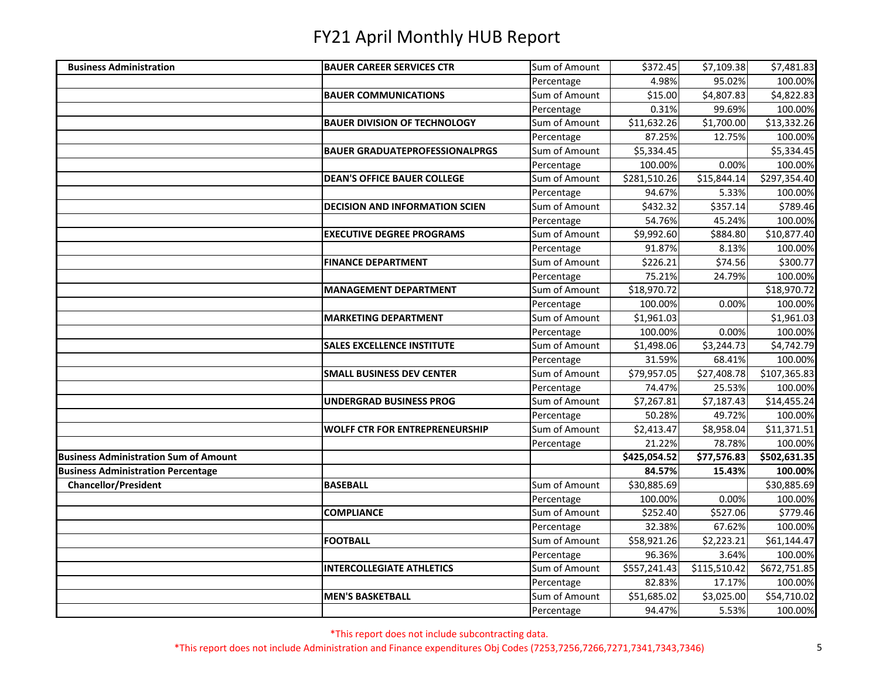| <b>Business Administration</b>               | <b>BAUER CAREER SERVICES CTR</b>      | Sum of Amount | \$372.45     | \$7,109.38   | \$7,481.83   |
|----------------------------------------------|---------------------------------------|---------------|--------------|--------------|--------------|
|                                              |                                       | Percentage    | 4.98%        | 95.02%       | 100.00%      |
|                                              | <b>BAUER COMMUNICATIONS</b>           | Sum of Amount | \$15.00      | \$4,807.83   | \$4,822.83   |
|                                              |                                       | Percentage    | 0.31%        | 99.69%       | 100.00%      |
|                                              | <b>BAUER DIVISION OF TECHNOLOGY</b>   | Sum of Amount | \$11,632.26  | \$1,700.00   | \$13,332.26  |
|                                              |                                       | Percentage    | 87.25%       | 12.75%       | 100.00%      |
|                                              | <b>BAUER GRADUATEPROFESSIONALPRGS</b> | Sum of Amount | \$5,334.45   |              | \$5,334.45   |
|                                              |                                       | Percentage    | 100.00%      | 0.00%        | 100.00%      |
|                                              | <b>DEAN'S OFFICE BAUER COLLEGE</b>    | Sum of Amount | \$281,510.26 | \$15,844.14  | \$297,354.40 |
|                                              |                                       | Percentage    | 94.67%       | 5.33%        | 100.00%      |
|                                              | <b>DECISION AND INFORMATION SCIEN</b> | Sum of Amount | \$432.32     | \$357.14     | \$789.46     |
|                                              |                                       | Percentage    | 54.76%       | 45.24%       | 100.00%      |
|                                              | <b>EXECUTIVE DEGREE PROGRAMS</b>      | Sum of Amount | \$9,992.60   | \$884.80     | \$10,877.40  |
|                                              |                                       | Percentage    | 91.87%       | 8.13%        | 100.00%      |
|                                              | <b>FINANCE DEPARTMENT</b>             | Sum of Amount | \$226.21     | \$74.56      | \$300.77     |
|                                              |                                       | Percentage    | 75.21%       | 24.79%       | 100.00%      |
|                                              | <b>MANAGEMENT DEPARTMENT</b>          | Sum of Amount | \$18,970.72  |              | \$18,970.72  |
|                                              |                                       | Percentage    | 100.00%      | 0.00%        | 100.00%      |
|                                              | <b>MARKETING DEPARTMENT</b>           | Sum of Amount | \$1,961.03   |              | \$1,961.03   |
|                                              |                                       | Percentage    | 100.00%      | 0.00%        | 100.00%      |
|                                              | <b>SALES EXCELLENCE INSTITUTE</b>     | Sum of Amount | \$1,498.06   | \$3,244.73   | \$4,742.79   |
|                                              |                                       | Percentage    | 31.59%       | 68.41%       | 100.00%      |
|                                              | <b>SMALL BUSINESS DEV CENTER</b>      | Sum of Amount | \$79,957.05  | \$27,408.78  | \$107,365.83 |
|                                              |                                       | Percentage    | 74.47%       | 25.53%       | 100.00%      |
|                                              | <b>UNDERGRAD BUSINESS PROG</b>        | Sum of Amount | \$7,267.81   | \$7,187.43   | \$14,455.24  |
|                                              |                                       | Percentage    | 50.28%       | 49.72%       | 100.00%      |
|                                              | <b>WOLFF CTR FOR ENTREPRENEURSHIP</b> | Sum of Amount | \$2,413.47   | \$8,958.04   | \$11,371.51  |
|                                              |                                       | Percentage    | 21.22%       | 78.78%       | 100.00%      |
| <b>Business Administration Sum of Amount</b> |                                       |               | \$425,054.52 | \$77,576.83  | \$502,631.35 |
| <b>Business Administration Percentage</b>    |                                       |               | 84.57%       | 15.43%       | 100.00%      |
| <b>Chancellor/President</b>                  | <b>BASEBALL</b>                       | Sum of Amount | \$30,885.69  |              | \$30,885.69  |
|                                              |                                       | Percentage    | 100.00%      | 0.00%        | 100.00%      |
|                                              | <b>COMPLIANCE</b>                     | Sum of Amount | \$252.40     | \$527.06     | \$779.46     |
|                                              |                                       | Percentage    | 32.38%       | 67.62%       | 100.00%      |
|                                              | <b>FOOTBALL</b>                       | Sum of Amount | \$58,921.26  | \$2,223.21   | \$61,144.47  |
|                                              |                                       | Percentage    | 96.36%       | 3.64%        | 100.00%      |
|                                              | <b>INTERCOLLEGIATE ATHLETICS</b>      | Sum of Amount | \$557,241.43 | \$115,510.42 | \$672,751.85 |
|                                              |                                       | Percentage    | 82.83%       | 17.17%       | 100.00%      |
|                                              | <b>MEN'S BASKETBALL</b>               | Sum of Amount | \$51,685.02  | \$3,025.00   | \$54,710.02  |
|                                              |                                       | Percentage    | 94.47%       | 5.53%        | 100.00%      |

\*This report does not include subcontracting data.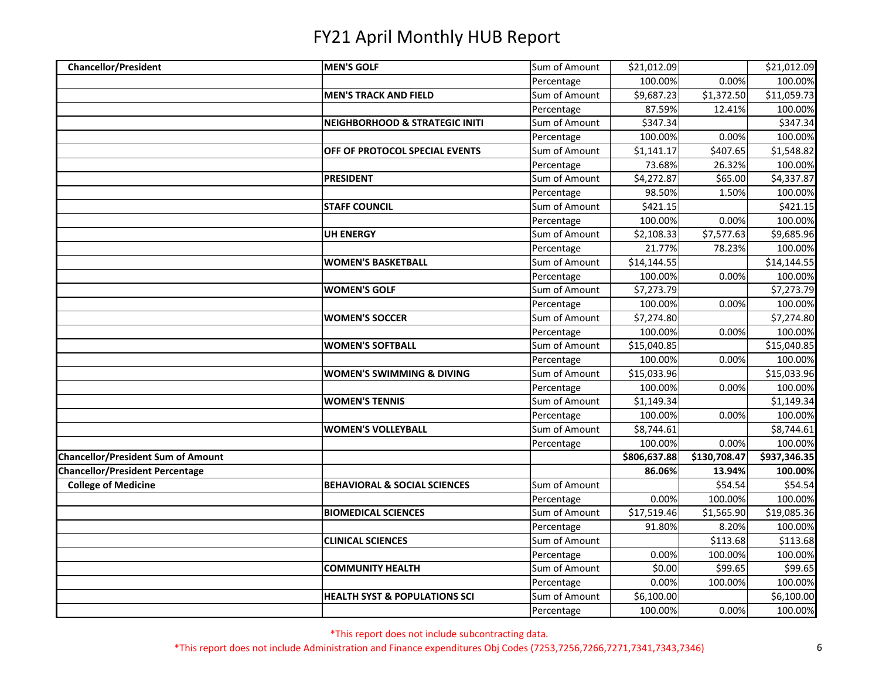| <b>Chancellor/President</b>               | <b>MEN'S GOLF</b>                         | Sum of Amount | \$21,012.09  |              | \$21,012.09             |
|-------------------------------------------|-------------------------------------------|---------------|--------------|--------------|-------------------------|
|                                           |                                           | Percentage    | 100.00%      | 0.00%        | 100.00%                 |
|                                           | <b>MEN'S TRACK AND FIELD</b>              | Sum of Amount | \$9,687.23   | \$1,372.50   | \$11,059.73             |
|                                           |                                           | Percentage    | 87.59%       | 12.41%       | 100.00%                 |
|                                           | <b>NEIGHBORHOOD &amp; STRATEGIC INITI</b> | Sum of Amount | \$347.34     |              | \$347.34                |
|                                           |                                           | Percentage    | 100.00%      | 0.00%        | 100.00%                 |
|                                           | OFF OF PROTOCOL SPECIAL EVENTS            | Sum of Amount | \$1,141.17   | \$407.65     | \$1,548.82              |
|                                           |                                           | Percentage    | 73.68%       | 26.32%       | 100.00%                 |
|                                           | <b>PRESIDENT</b>                          | Sum of Amount | \$4,272.87   | \$65.00      | \$4,337.87              |
|                                           |                                           | Percentage    | 98.50%       | 1.50%        | 100.00%                 |
|                                           | <b>STAFF COUNCIL</b>                      | Sum of Amount | \$421.15     |              | \$421.15                |
|                                           |                                           | Percentage    | 100.00%      | 0.00%        | 100.00%                 |
|                                           | <b>UH ENERGY</b>                          | Sum of Amount | \$2,108.33   | \$7,577.63   | \$9,685.96              |
|                                           |                                           | Percentage    | 21.77%       | 78.23%       | 100.00%                 |
|                                           | <b>WOMEN'S BASKETBALL</b>                 | Sum of Amount | \$14,144.55  |              | \$14,144.55             |
|                                           |                                           | Percentage    | 100.00%      | 0.00%        | 100.00%                 |
|                                           | <b>WOMEN'S GOLF</b>                       | Sum of Amount | \$7,273.79   |              | \$7,273.79              |
|                                           |                                           | Percentage    | 100.00%      | 0.00%        | 100.00%                 |
|                                           | <b>WOMEN'S SOCCER</b>                     | Sum of Amount | \$7,274.80   |              | \$7,274.80              |
|                                           |                                           | Percentage    | 100.00%      | 0.00%        | 100.00%                 |
|                                           | <b>WOMEN'S SOFTBALL</b>                   | Sum of Amount | \$15,040.85  |              | \$15,040.85             |
|                                           |                                           | Percentage    | 100.00%      | 0.00%        | 100.00%                 |
|                                           | <b>WOMEN'S SWIMMING &amp; DIVING</b>      | Sum of Amount | \$15,033.96  |              | \$15,033.96             |
|                                           |                                           | Percentage    | 100.00%      | 0.00%        | 100.00%                 |
|                                           | <b>WOMEN'S TENNIS</b>                     | Sum of Amount | \$1,149.34   |              | \$1,149.34              |
|                                           |                                           | Percentage    | 100.00%      | 0.00%        | 100.00%                 |
|                                           | <b>WOMEN'S VOLLEYBALL</b>                 | Sum of Amount | \$8,744.61   |              | \$8,744.61              |
|                                           |                                           | Percentage    | 100.00%      | 0.00%        | 100.00%                 |
| <b>Chancellor/President Sum of Amount</b> |                                           |               | \$806,637.88 | \$130,708.47 | \$937,346.35            |
| <b>Chancellor/President Percentage</b>    |                                           |               | 86.06%       | 13.94%       | 100.00%                 |
| <b>College of Medicine</b>                | <b>BEHAVIORAL &amp; SOCIAL SCIENCES</b>   | Sum of Amount |              | \$54.54      | \$54.54                 |
|                                           |                                           | Percentage    | 0.00%        | 100.00%      | 100.00%                 |
|                                           | <b>BIOMEDICAL SCIENCES</b>                | Sum of Amount | \$17,519.46  | \$1,565.90   | $$19,085.\overline{36}$ |
|                                           |                                           | Percentage    | 91.80%       | 8.20%        | 100.00%                 |
|                                           | <b>CLINICAL SCIENCES</b>                  | Sum of Amount |              | \$113.68     | \$113.68                |
|                                           |                                           | Percentage    | 0.00%        | 100.00%      | 100.00%                 |
|                                           | <b>COMMUNITY HEALTH</b>                   | Sum of Amount | \$0.00       | \$99.65      | \$99.65                 |
|                                           |                                           | Percentage    | 0.00%        | 100.00%      | 100.00%                 |
|                                           | <b>HEALTH SYST &amp; POPULATIONS SCI</b>  | Sum of Amount | \$6,100.00   |              | \$6,100.00              |
|                                           |                                           | Percentage    | 100.00%      | 0.00%        | 100.00%                 |

\*This report does not include subcontracting data.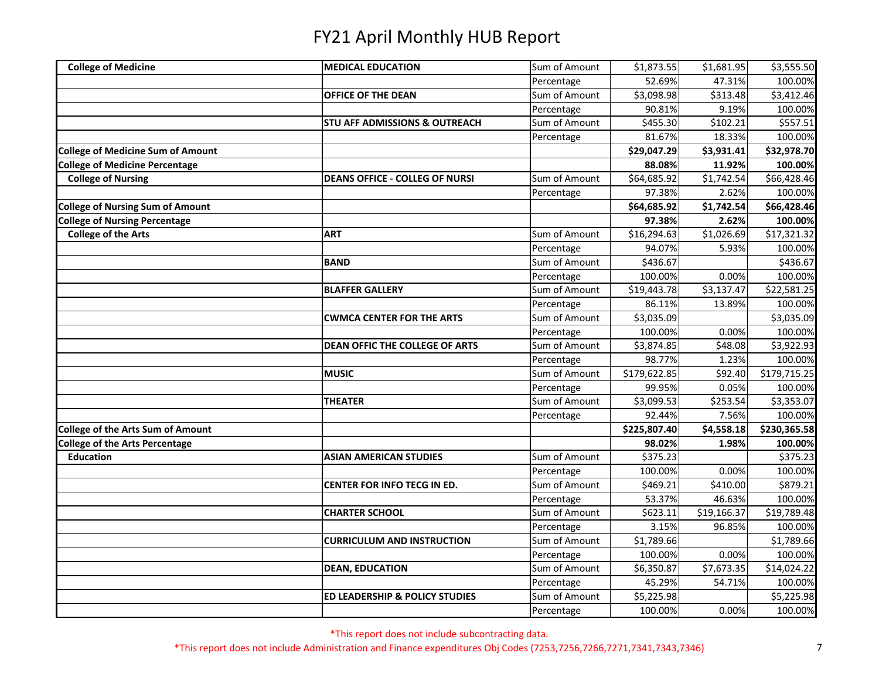| <b>College of Medicine</b>               | <b>MEDICAL EDUCATION</b>                  | Sum of Amount | \$1,873.55   | \$1,681.95             | \$3,555.50   |
|------------------------------------------|-------------------------------------------|---------------|--------------|------------------------|--------------|
|                                          |                                           | Percentage    | 52.69%       | 47.31%                 | 100.00%      |
|                                          | <b>OFFICE OF THE DEAN</b>                 | Sum of Amount | \$3,098.98   | \$313.48               | \$3,412.46   |
|                                          |                                           | Percentage    | 90.81%       | 9.19%                  | 100.00%      |
|                                          | <b>STU AFF ADMISSIONS &amp; OUTREACH</b>  | Sum of Amount | \$455.30     | \$102.21               | \$557.51     |
|                                          |                                           | Percentage    | 81.67%       | 18.33%                 | 100.00%      |
| <b>College of Medicine Sum of Amount</b> |                                           |               | \$29,047.29  | \$3,931.41             | \$32,978.70  |
| <b>College of Medicine Percentage</b>    |                                           |               | 88.08%       | 11.92%                 | 100.00%      |
| <b>College of Nursing</b>                | <b>DEANS OFFICE - COLLEG OF NURSI</b>     | Sum of Amount | \$64,685.92  | \$1,742.54             | \$66,428.46  |
|                                          |                                           | Percentage    | 97.38%       | 2.62%                  | 100.00%      |
| <b>College of Nursing Sum of Amount</b>  |                                           |               | \$64,685.92  | $\overline{51,742.54}$ | \$66,428.46  |
| <b>College of Nursing Percentage</b>     |                                           |               | 97.38%       | 2.62%                  | 100.00%      |
| <b>College of the Arts</b>               | <b>ART</b>                                | Sum of Amount | \$16,294.63  | \$1,026.69             | \$17,321.32  |
|                                          |                                           | Percentage    | 94.07%       | 5.93%                  | 100.00%      |
|                                          | <b>BAND</b>                               | Sum of Amount | \$436.67     |                        | \$436.67     |
|                                          |                                           | Percentage    | 100.00%      | 0.00%                  | 100.00%      |
|                                          | <b>BLAFFER GALLERY</b>                    | Sum of Amount | \$19,443.78  | \$3,137.47             | \$22,581.25  |
|                                          |                                           | Percentage    | 86.11%       | 13.89%                 | 100.00%      |
|                                          | <b>CWMCA CENTER FOR THE ARTS</b>          | Sum of Amount | \$3,035.09   |                        | \$3,035.09   |
|                                          |                                           | Percentage    | 100.00%      | 0.00%                  | 100.00%      |
|                                          | DEAN OFFIC THE COLLEGE OF ARTS            | Sum of Amount | \$3,874.85   | \$48.08                | \$3,922.93   |
|                                          |                                           | Percentage    | 98.77%       | 1.23%                  | 100.00%      |
|                                          | <b>MUSIC</b>                              | Sum of Amount | \$179,622.85 | \$92.40                | \$179,715.25 |
|                                          |                                           | Percentage    | 99.95%       | 0.05%                  | 100.00%      |
|                                          | <b>THEATER</b>                            | Sum of Amount | \$3,099.53   | \$253.54               | \$3,353.07   |
|                                          |                                           | Percentage    | 92.44%       | 7.56%                  | 100.00%      |
| <b>College of the Arts Sum of Amount</b> |                                           |               | \$225,807.40 | \$4,558.18             | \$230,365.58 |
| <b>College of the Arts Percentage</b>    |                                           |               | 98.02%       | 1.98%                  | 100.00%      |
| <b>Education</b>                         | <b>ASIAN AMERICAN STUDIES</b>             | Sum of Amount | \$375.23     |                        | \$375.23     |
|                                          |                                           | Percentage    | 100.00%      | 0.00%                  | 100.00%      |
|                                          | <b>CENTER FOR INFO TECG IN ED.</b>        | Sum of Amount | \$469.21     | \$410.00               | \$879.21     |
|                                          |                                           | Percentage    | 53.37%       | 46.63%                 | 100.00%      |
|                                          | <b>CHARTER SCHOOL</b>                     | Sum of Amount | \$623.11     | \$19,166.37            | \$19,789.48  |
|                                          |                                           | Percentage    | 3.15%        | 96.85%                 | 100.00%      |
|                                          | <b>CURRICULUM AND INSTRUCTION</b>         | Sum of Amount | \$1,789.66   |                        | \$1,789.66   |
|                                          |                                           | Percentage    | 100.00%      | 0.00%                  | 100.00%      |
|                                          | <b>DEAN, EDUCATION</b>                    | Sum of Amount | \$6,350.87   | \$7,673.35             | \$14,024.22  |
|                                          |                                           | Percentage    | 45.29%       | 54.71%                 | 100.00%      |
|                                          | <b>ED LEADERSHIP &amp; POLICY STUDIES</b> | Sum of Amount | \$5,225.98   |                        | \$5,225.98   |
|                                          |                                           | Percentage    | 100.00%      | 0.00%                  | 100.00%      |

\*This report does not include subcontracting data.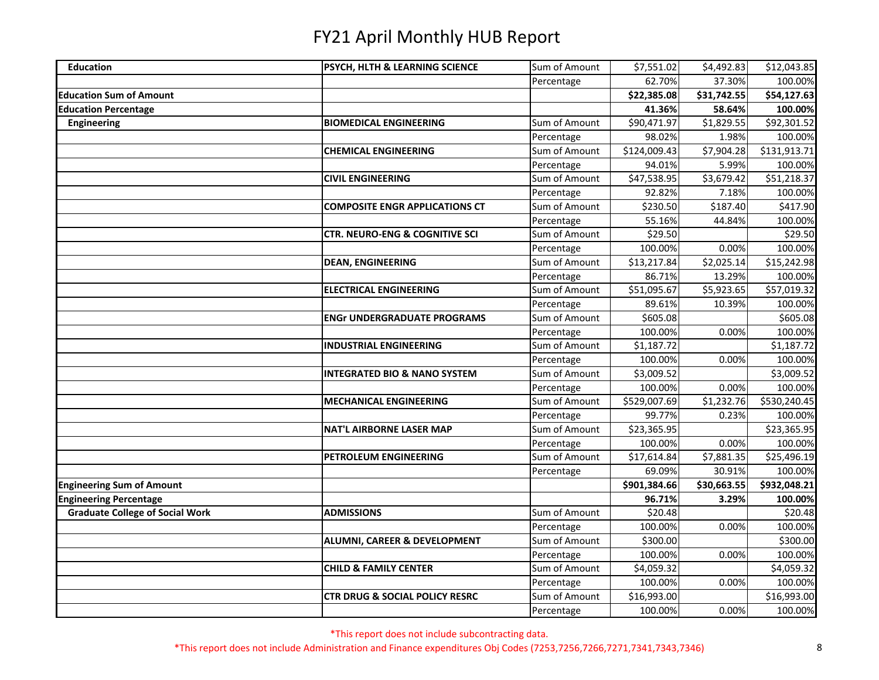| <b>Education</b>                       | <b>PSYCH, HLTH &amp; LEARNING SCIENCE</b> | Sum of Amount | \$7,551.02   | \$4,492.83  | \$12,043.85  |
|----------------------------------------|-------------------------------------------|---------------|--------------|-------------|--------------|
|                                        |                                           | Percentage    | 62.70%       | 37.30%      | 100.00%      |
| <b>Education Sum of Amount</b>         |                                           |               | \$22,385.08  | \$31,742.55 | \$54,127.63  |
| <b>Education Percentage</b>            |                                           |               | 41.36%       | 58.64%      | 100.00%      |
| Engineering                            | <b>BIOMEDICAL ENGINEERING</b>             | Sum of Amount | \$90,471.97  | \$1,829.55  | \$92,301.52  |
|                                        |                                           | Percentage    | 98.02%       | 1.98%       | 100.00%      |
|                                        | <b>CHEMICAL ENGINEERING</b>               | Sum of Amount | \$124,009.43 | \$7,904.28  | \$131,913.71 |
|                                        |                                           | Percentage    | 94.01%       | 5.99%       | 100.00%      |
|                                        | <b>CIVIL ENGINEERING</b>                  | Sum of Amount | \$47,538.95  | \$3,679.42  | \$51,218.37  |
|                                        |                                           | Percentage    | 92.82%       | 7.18%       | 100.00%      |
|                                        | <b>COMPOSITE ENGR APPLICATIONS CT</b>     | Sum of Amount | \$230.50     | \$187.40    | \$417.90     |
|                                        |                                           | Percentage    | 55.16%       | 44.84%      | 100.00%      |
|                                        | <b>CTR. NEURO-ENG &amp; COGNITIVE SCI</b> | Sum of Amount | \$29.50      |             | \$29.50      |
|                                        |                                           | Percentage    | 100.00%      | 0.00%       | 100.00%      |
|                                        | <b>DEAN, ENGINEERING</b>                  | Sum of Amount | \$13,217.84  | \$2,025.14  | \$15,242.98  |
|                                        |                                           | Percentage    | 86.71%       | 13.29%      | 100.00%      |
|                                        | <b>ELECTRICAL ENGINEERING</b>             | Sum of Amount | \$51,095.67  | \$5,923.65  | \$57,019.32  |
|                                        |                                           | Percentage    | 89.61%       | 10.39%      | 100.00%      |
|                                        | <b>ENGr UNDERGRADUATE PROGRAMS</b>        | Sum of Amount | \$605.08     |             | \$605.08     |
|                                        |                                           | Percentage    | 100.00%      | 0.00%       | 100.00%      |
|                                        | <b>INDUSTRIAL ENGINEERING</b>             | Sum of Amount | \$1,187.72   |             | \$1,187.72   |
|                                        |                                           | Percentage    | 100.00%      | 0.00%       | 100.00%      |
|                                        | <b>INTEGRATED BIO &amp; NANO SYSTEM</b>   | Sum of Amount | \$3,009.52   |             | \$3,009.52   |
|                                        |                                           | Percentage    | 100.00%      | 0.00%       | 100.00%      |
|                                        | <b>MECHANICAL ENGINEERING</b>             | Sum of Amount | \$529,007.69 | \$1,232.76  | \$530,240.45 |
|                                        |                                           | Percentage    | 99.77%       | 0.23%       | 100.00%      |
|                                        | <b>NAT'L AIRBORNE LASER MAP</b>           | Sum of Amount | \$23,365.95  |             | \$23,365.95  |
|                                        |                                           | Percentage    | 100.00%      | 0.00%       | 100.00%      |
|                                        | PETROLEUM ENGINEERING                     | Sum of Amount | \$17,614.84  | \$7,881.35  | \$25,496.19  |
|                                        |                                           | Percentage    | 69.09%       | 30.91%      | 100.00%      |
| <b>Engineering Sum of Amount</b>       |                                           |               | \$901,384.66 | \$30,663.55 | \$932,048.21 |
| <b>Engineering Percentage</b>          |                                           |               | 96.71%       | 3.29%       | 100.00%      |
| <b>Graduate College of Social Work</b> | <b>ADMISSIONS</b>                         | Sum of Amount | \$20.48      |             | \$20.48      |
|                                        |                                           | Percentage    | 100.00%      | 0.00%       | 100.00%      |
|                                        | ALUMNI, CAREER & DEVELOPMENT              | Sum of Amount | \$300.00     |             | \$300.00     |
|                                        |                                           | Percentage    | 100.00%      | 0.00%       | 100.00%      |
|                                        | <b>CHILD &amp; FAMILY CENTER</b>          | Sum of Amount | \$4,059.32   |             | \$4,059.32   |
|                                        |                                           | Percentage    | 100.00%      | 0.00%       | 100.00%      |
|                                        | <b>CTR DRUG &amp; SOCIAL POLICY RESRC</b> | Sum of Amount | \$16,993.00  |             | \$16,993.00  |
|                                        |                                           | Percentage    | 100.00%      | 0.00%       | 100.00%      |

\*This report does not include subcontracting data.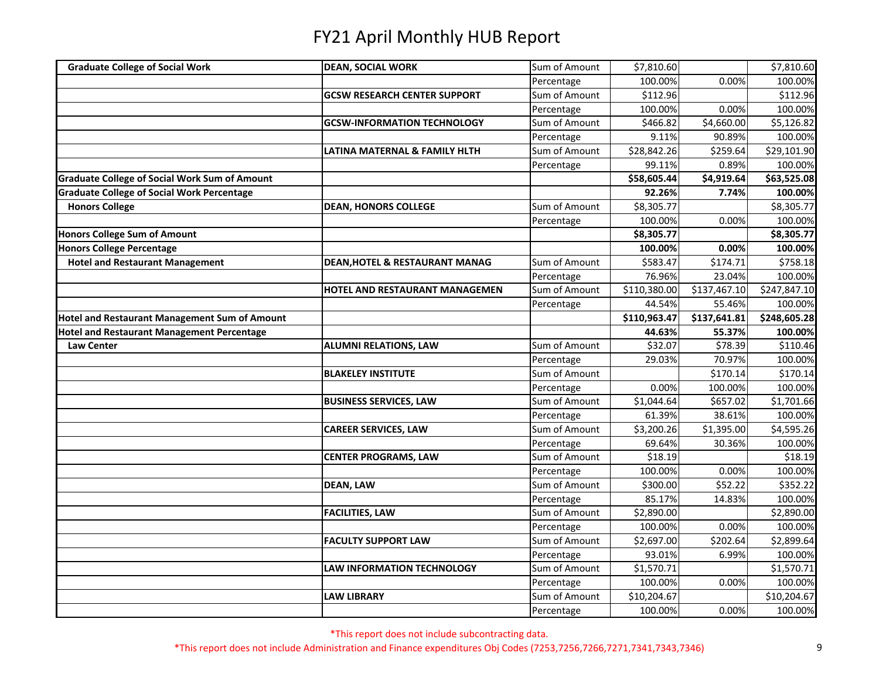| <b>Graduate College of Social Work</b>               | <b>DEAN, SOCIAL WORK</b>                  | Sum of Amount | \$7,810.60   |              | \$7,810.60             |
|------------------------------------------------------|-------------------------------------------|---------------|--------------|--------------|------------------------|
|                                                      |                                           | Percentage    | 100.00%      | 0.00%        | 100.00%                |
|                                                      | <b>GCSW RESEARCH CENTER SUPPORT</b>       | Sum of Amount | \$112.96     |              | 5112.96                |
|                                                      |                                           | Percentage    | 100.00%      | 0.00%        | 100.00%                |
|                                                      | <b>GCSW-INFORMATION TECHNOLOGY</b>        | Sum of Amount | \$466.82     | \$4,660.00   | $$5,126.\overline{82}$ |
|                                                      |                                           | Percentage    | 9.11%        | 90.89%       | 100.00%                |
|                                                      | LATINA MATERNAL & FAMILY HLTH             | Sum of Amount | \$28,842.26  | \$259.64     | \$29,101.90            |
|                                                      |                                           | Percentage    | 99.11%       | 0.89%        | 100.00%                |
| <b>Graduate College of Social Work Sum of Amount</b> |                                           |               | \$58,605.44  | \$4,919.64   | \$63,525.08            |
| <b>Graduate College of Social Work Percentage</b>    |                                           |               | 92.26%       | 7.74%        | 100.00%                |
| <b>Honors College</b>                                | <b>DEAN, HONORS COLLEGE</b>               | Sum of Amount | \$8,305.77   |              | \$8,305.77             |
|                                                      |                                           | Percentage    | 100.00%      | 0.00%        | 100.00%                |
| <b>Honors College Sum of Amount</b>                  |                                           |               | \$8,305.77   |              | \$8,305.77             |
| <b>Honors College Percentage</b>                     |                                           |               | 100.00%      | 0.00%        | 100.00%                |
| <b>Hotel and Restaurant Management</b>               | <b>DEAN, HOTEL &amp; RESTAURANT MANAG</b> | Sum of Amount | \$583.47     | \$174.71     | \$758.18               |
|                                                      |                                           | Percentage    | 76.96%       | 23.04%       | 100.00%                |
|                                                      | HOTEL AND RESTAURANT MANAGEMEN            | Sum of Amount | \$110,380.00 | \$137,467.10 | \$247,847.10           |
|                                                      |                                           | Percentage    | 44.54%       | 55.46%       | 100.00%                |
| <b>Hotel and Restaurant Management Sum of Amount</b> |                                           |               | \$110,963.47 | \$137,641.81 | \$248,605.28           |
| <b>Hotel and Restaurant Management Percentage</b>    |                                           |               | 44.63%       | 55.37%       | 100.00%                |
| <b>Law Center</b>                                    | <b>ALUMNI RELATIONS, LAW</b>              | Sum of Amount | \$32.07      | \$78.39      | \$110.46               |
|                                                      |                                           | Percentage    | 29.03%       | 70.97%       | 100.00%                |
|                                                      | <b>BLAKELEY INSTITUTE</b>                 | Sum of Amount |              | \$170.14     | \$170.14               |
|                                                      |                                           | Percentage    | 0.00%        | 100.00%      | 100.00%                |
|                                                      | <b>BUSINESS SERVICES, LAW</b>             | Sum of Amount | \$1,044.64   | \$657.02     | \$1,701.66             |
|                                                      |                                           | Percentage    | 61.39%       | 38.61%       | 100.00%                |
|                                                      | <b>CAREER SERVICES, LAW</b>               | Sum of Amount | \$3,200.26   | \$1,395.00   | \$4,595.26             |
|                                                      |                                           | Percentage    | 69.64%       | 30.36%       | 100.00%                |
|                                                      | <b>CENTER PROGRAMS, LAW</b>               | Sum of Amount | \$18.19      |              | \$18.19                |
|                                                      |                                           | Percentage    | 100.00%      | 0.00%        | 100.00%                |
|                                                      | <b>DEAN, LAW</b>                          | Sum of Amount | \$300.00     | \$52.22      | \$352.22               |
|                                                      |                                           | Percentage    | 85.17%       | 14.83%       | 100.00%                |
|                                                      | <b>FACILITIES, LAW</b>                    | Sum of Amount | \$2,890.00   |              | \$2,890.00             |
|                                                      |                                           | Percentage    | 100.00%      | 0.00%        | 100.00%                |
|                                                      | <b>FACULTY SUPPORT LAW</b>                | Sum of Amount | \$2,697.00   | \$202.64     | \$2,899.64             |
|                                                      |                                           | Percentage    | 93.01%       | 6.99%        | 100.00%                |
|                                                      | <b>LAW INFORMATION TECHNOLOGY</b>         | Sum of Amount | \$1,570.71   |              | \$1,570.71             |
|                                                      |                                           | Percentage    | 100.00%      | 0.00%        | 100.00%                |
|                                                      | <b>LAW LIBRARY</b>                        | Sum of Amount | \$10,204.67  |              | \$10,204.67            |
|                                                      |                                           | Percentage    | 100.00%      | 0.00%        | 100.00%                |

\*This report does not include subcontracting data.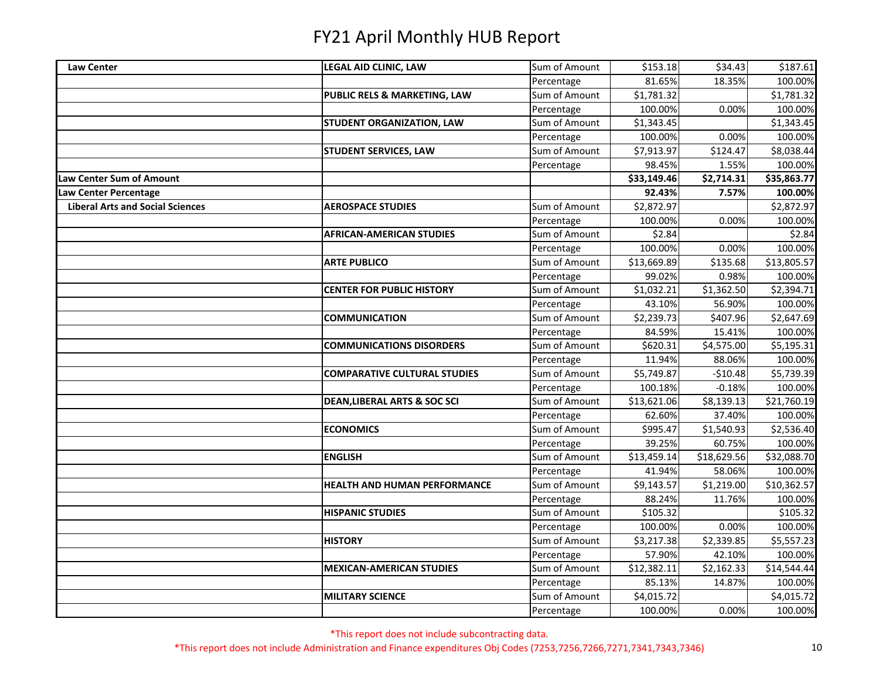| <b>Law Center</b>                       | LEGAL AID CLINIC, LAW                   | Sum of Amount | \$153.18    | \$34.43     | \$187.61    |
|-----------------------------------------|-----------------------------------------|---------------|-------------|-------------|-------------|
|                                         |                                         | Percentage    | 81.65%      | 18.35%      | 100.00%     |
|                                         | PUBLIC RELS & MARKETING, LAW            | Sum of Amount | \$1,781.32  |             | \$1,781.32  |
|                                         |                                         | Percentage    | 100.00%     | 0.00%       | 100.00%     |
|                                         | STUDENT ORGANIZATION, LAW               | Sum of Amount | \$1,343.45  |             | \$1,343.45  |
|                                         |                                         | Percentage    | 100.00%     | 0.00%       | 100.00%     |
|                                         | <b>STUDENT SERVICES, LAW</b>            | Sum of Amount | \$7,913.97  | \$124.47    | \$8,038.44  |
|                                         |                                         | Percentage    | 98.45%      | 1.55%       | 100.00%     |
| <b>Law Center Sum of Amount</b>         |                                         |               | \$33,149.46 | \$2,714.31  | \$35,863.77 |
| Law Center Percentage                   |                                         |               | 92.43%      | 7.57%       | 100.00%     |
| <b>Liberal Arts and Social Sciences</b> | <b>AEROSPACE STUDIES</b>                | Sum of Amount | \$2,872.97  |             | \$2,872.97  |
|                                         |                                         | Percentage    | 100.00%     | 0.00%       | 100.00%     |
|                                         | <b>AFRICAN-AMERICAN STUDIES</b>         | Sum of Amount | \$2.84      |             | \$2.84      |
|                                         |                                         | Percentage    | 100.00%     | 0.00%       | 100.00%     |
|                                         | <b>ARTE PUBLICO</b>                     | Sum of Amount | \$13,669.89 | \$135.68    | \$13,805.57 |
|                                         |                                         | Percentage    | 99.02%      | 0.98%       | 100.00%     |
|                                         | <b>CENTER FOR PUBLIC HISTORY</b>        | Sum of Amount | \$1,032.21  | \$1,362.50  | \$2,394.71  |
|                                         |                                         | Percentage    | 43.10%      | 56.90%      | 100.00%     |
|                                         | <b>COMMUNICATION</b>                    | Sum of Amount | \$2,239.73  | \$407.96    | \$2,647.69  |
|                                         |                                         | Percentage    | 84.59%      | 15.41%      | 100.00%     |
|                                         | <b>COMMUNICATIONS DISORDERS</b>         | Sum of Amount | \$620.31    | \$4,575.00  | \$5,195.31  |
|                                         |                                         | Percentage    | 11.94%      | 88.06%      | 100.00%     |
|                                         | <b>COMPARATIVE CULTURAL STUDIES</b>     | Sum of Amount | \$5,749.87  | $-510.48$   | \$5,739.39  |
|                                         |                                         | Percentage    | 100.18%     | $-0.18%$    | 100.00%     |
|                                         | <b>DEAN, LIBERAL ARTS &amp; SOC SCI</b> | Sum of Amount | \$13,621.06 | \$8,139.13  | \$21,760.19 |
|                                         |                                         | Percentage    | 62.60%      | 37.40%      | 100.00%     |
|                                         | <b>ECONOMICS</b>                        | Sum of Amount | \$995.47    | \$1,540.93  | \$2,536.40  |
|                                         |                                         | Percentage    | 39.25%      | 60.75%      | 100.00%     |
|                                         | <b>ENGLISH</b>                          | Sum of Amount | \$13,459.14 | \$18,629.56 | \$32,088.70 |
|                                         |                                         | Percentage    | 41.94%      | 58.06%      | 100.00%     |
|                                         | <b>HEALTH AND HUMAN PERFORMANCE</b>     | Sum of Amount | \$9,143.57  | \$1,219.00  | \$10,362.57 |
|                                         |                                         | Percentage    | 88.24%      | 11.76%      | 100.00%     |
|                                         | <b>HISPANIC STUDIES</b>                 | Sum of Amount | \$105.32    |             | \$105.32    |
|                                         |                                         | Percentage    | 100.00%     | 0.00%       | 100.00%     |
|                                         | <b>HISTORY</b>                          | Sum of Amount | \$3,217.38  | \$2,339.85  | \$5,557.23  |
|                                         |                                         | Percentage    | 57.90%      | 42.10%      | 100.00%     |
|                                         | <b>MEXICAN-AMERICAN STUDIES</b>         | Sum of Amount | \$12,382.11 | \$2,162.33  | \$14,544.44 |
|                                         |                                         | Percentage    | 85.13%      | 14.87%      | 100.00%     |
|                                         | <b>MILITARY SCIENCE</b>                 | Sum of Amount | \$4,015.72  |             | \$4,015.72  |
|                                         |                                         | Percentage    | 100.00%     | 0.00%       | 100.00%     |

\*This report does not include subcontracting data.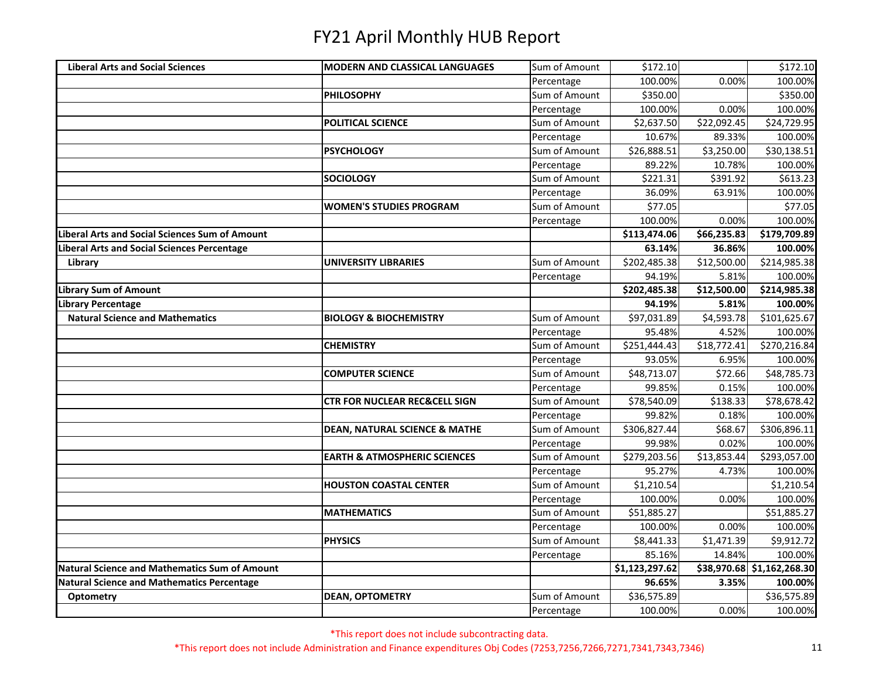| <b>Liberal Arts and Social Sciences</b>           | <b>MODERN AND CLASSICAL LANGUAGES</b>    | Sum of Amount | \$172.10       |             | \$172.10                   |
|---------------------------------------------------|------------------------------------------|---------------|----------------|-------------|----------------------------|
|                                                   |                                          | Percentage    | 100.00%        | 0.00%       | 100.00%                    |
|                                                   | <b>PHILOSOPHY</b>                        | Sum of Amount | \$350.00       |             | \$350.00                   |
|                                                   |                                          | Percentage    | 100.00%        | 0.00%       | 100.00%                    |
|                                                   | POLITICAL SCIENCE                        | Sum of Amount | \$2,637.50     | \$22,092.45 | \$24,729.95                |
|                                                   |                                          | Percentage    | 10.67%         | 89.33%      | 100.00%                    |
|                                                   | <b>PSYCHOLOGY</b>                        | Sum of Amount | \$26,888.51    | \$3,250.00  | \$30,138.51                |
|                                                   |                                          | Percentage    | 89.22%         | 10.78%      | 100.00%                    |
|                                                   | <b>SOCIOLOGY</b>                         | Sum of Amount | \$221.31       | \$391.92    | \$613.23                   |
|                                                   |                                          | Percentage    | 36.09%         | 63.91%      | 100.00%                    |
|                                                   | <b>WOMEN'S STUDIES PROGRAM</b>           | Sum of Amount | \$77.05        |             | \$77.05                    |
|                                                   |                                          | Percentage    | 100.00%        | 0.00%       | 100.00%                    |
| Liberal Arts and Social Sciences Sum of Amount    |                                          |               | \$113,474.06   | \$66,235.83 | \$179,709.89               |
| Liberal Arts and Social Sciences Percentage       |                                          |               | 63.14%         | 36.86%      | 100.00%                    |
| Library                                           | <b>UNIVERSITY LIBRARIES</b>              | Sum of Amount | \$202,485.38   | \$12,500.00 | \$214,985.38               |
|                                                   |                                          | Percentage    | 94.19%         | 5.81%       | 100.00%                    |
| <b>Library Sum of Amount</b>                      |                                          |               | \$202,485.38   | \$12,500.00 | \$214,985.38               |
| Library Percentage                                |                                          |               | 94.19%         | 5.81%       | 100.00%                    |
| <b>Natural Science and Mathematics</b>            | <b>BIOLOGY &amp; BIOCHEMISTRY</b>        | Sum of Amount | \$97,031.89    | \$4,593.78  | \$101,625.67               |
|                                                   |                                          | Percentage    | 95.48%         | 4.52%       | 100.00%                    |
|                                                   | <b>CHEMISTRY</b>                         | Sum of Amount | \$251,444.43   | \$18,772.41 | \$270,216.84               |
|                                                   |                                          | Percentage    | 93.05%         | 6.95%       | 100.00%                    |
|                                                   | <b>COMPUTER SCIENCE</b>                  | Sum of Amount | \$48,713.07    | \$72.66     | \$48,785.73                |
|                                                   |                                          | Percentage    | 99.85%         | 0.15%       | 100.00%                    |
|                                                   | <b>CTR FOR NUCLEAR REC&amp;CELL SIGN</b> | Sum of Amount | \$78,540.09    | \$138.33    | \$78,678.42                |
|                                                   |                                          | Percentage    | 99.82%         | 0.18%       | 100.00%                    |
|                                                   | <b>DEAN, NATURAL SCIENCE &amp; MATHE</b> | Sum of Amount | \$306,827.44   | \$68.67     | \$306,896.11               |
|                                                   |                                          | Percentage    | 99.98%         | 0.02%       | 100.00%                    |
|                                                   | <b>EARTH &amp; ATMOSPHERIC SCIENCES</b>  | Sum of Amount | \$279,203.56   | \$13,853.44 | \$293,057.00               |
|                                                   |                                          | Percentage    | 95.27%         | 4.73%       | 100.00%                    |
|                                                   | <b>HOUSTON COASTAL CENTER</b>            | Sum of Amount | \$1,210.54     |             | \$1,210.54                 |
|                                                   |                                          | Percentage    | 100.00%        | 0.00%       | 100.00%                    |
|                                                   | <b>MATHEMATICS</b>                       | Sum of Amount | \$51,885.27    |             | \$51,885.27                |
|                                                   |                                          | Percentage    | 100.00%        | 0.00%       | 100.00%                    |
|                                                   | <b>PHYSICS</b>                           | Sum of Amount | \$8,441.33     | \$1,471.39  | 59,912.72                  |
|                                                   |                                          | Percentage    | 85.16%         | 14.84%      | 100.00%                    |
| Natural Science and Mathematics Sum of Amount     |                                          |               | \$1,123,297.62 |             | \$38,970.68 \$1,162,268.30 |
| <b>Natural Science and Mathematics Percentage</b> |                                          |               | 96.65%         | 3.35%       | 100.00%                    |
| Optometry                                         | <b>DEAN, OPTOMETRY</b>                   | Sum of Amount | \$36,575.89    |             | \$36,575.89                |
|                                                   |                                          | Percentage    | 100.00%        | 0.00%       | 100.00%                    |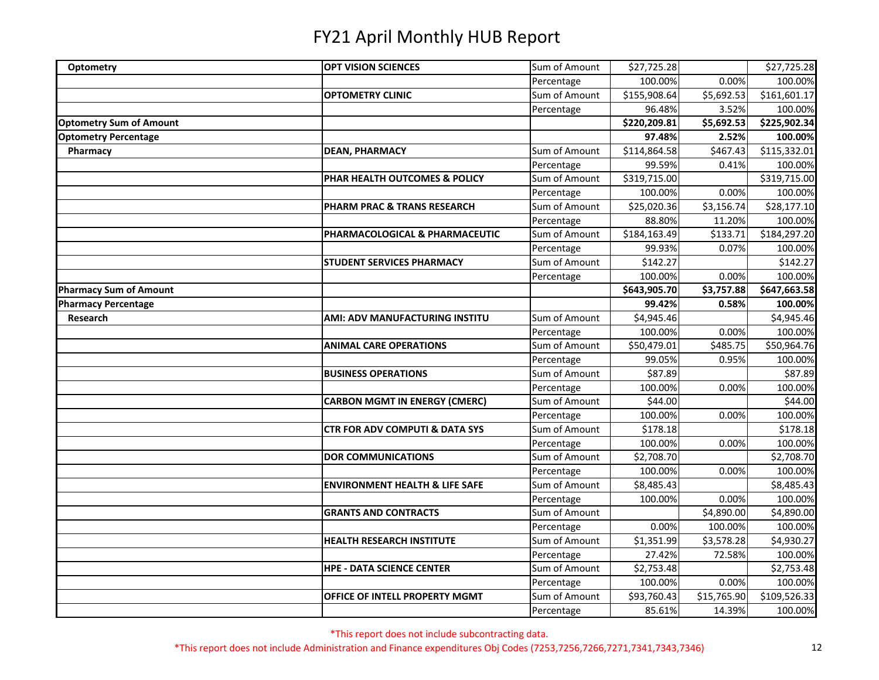| Optometry                      | <b>OPT VISION SCIENCES</b>                | Sum of Amount | \$27,725.28            |                        | \$27,725.28  |
|--------------------------------|-------------------------------------------|---------------|------------------------|------------------------|--------------|
|                                |                                           | Percentage    | 100.00%                | 0.00%                  | 100.00%      |
|                                | <b>OPTOMETRY CLINIC</b>                   | Sum of Amount | \$155,908.64           | $\overline{$5,692.53}$ | \$161,601.17 |
|                                |                                           | Percentage    | 96.48%                 | 3.52%                  | 100.00%      |
| <b>Optometry Sum of Amount</b> |                                           |               | \$220,209.81           | \$5,692.53             | \$225,902.34 |
| <b>Optometry Percentage</b>    |                                           |               | 97.48%                 | 2.52%                  | 100.00%      |
| Pharmacy                       | <b>DEAN, PHARMACY</b>                     | Sum of Amount | \$114,864.58           | \$467.43               | \$115,332.01 |
|                                |                                           | Percentage    | 99.59%                 | 0.41%                  | 100.00%      |
|                                | PHAR HEALTH OUTCOMES & POLICY             | Sum of Amount | \$319,715.00           |                        | \$319,715.00 |
|                                |                                           | Percentage    | 100.00%                | 0.00%                  | 100.00%      |
|                                | PHARM PRAC & TRANS RESEARCH               | Sum of Amount | \$25,020.36            | \$3,156.74             | \$28,177.10  |
|                                |                                           | Percentage    | 88.80%                 | 11.20%                 | 100.00%      |
|                                | PHARMACOLOGICAL & PHARMACEUTIC            | Sum of Amount | \$184,163.49           | \$133.71               | \$184,297.20 |
|                                |                                           | Percentage    | 99.93%                 | 0.07%                  | 100.00%      |
|                                | <b>STUDENT SERVICES PHARMACY</b>          | Sum of Amount | \$142.27               |                        | \$142.27     |
|                                |                                           | Percentage    | 100.00%                | 0.00%                  | 100.00%      |
| <b>Pharmacy Sum of Amount</b>  |                                           |               | \$643,905.70           | \$3,757.88             | \$647,663.58 |
| <b>Pharmacy Percentage</b>     |                                           |               | 99.42%                 | 0.58%                  | 100.00%      |
| Research                       | <b>AMI: ADV MANUFACTURING INSTITU</b>     | Sum of Amount | $\overline{$4,945.46}$ |                        | \$4,945.46   |
|                                |                                           | Percentage    | 100.00%                | 0.00%                  | 100.00%      |
|                                | <b>ANIMAL CARE OPERATIONS</b>             | Sum of Amount | \$50,479.01            | \$485.75               | \$50,964.76  |
|                                |                                           | Percentage    | 99.05%                 | 0.95%                  | 100.00%      |
|                                | <b>BUSINESS OPERATIONS</b>                | Sum of Amount | \$87.89                |                        | \$87.89      |
|                                |                                           | Percentage    | 100.00%                | 0.00%                  | 100.00%      |
|                                | <b>CARBON MGMT IN ENERGY (CMERC)</b>      | Sum of Amount | \$44.00                |                        | \$44.00      |
|                                |                                           | Percentage    | 100.00%                | 0.00%                  | 100.00%      |
|                                | <b>CTR FOR ADV COMPUTI &amp; DATA SYS</b> | Sum of Amount | \$178.18               |                        | \$178.18     |
|                                |                                           | Percentage    | 100.00%                | 0.00%                  | 100.00%      |
|                                | <b>DOR COMMUNICATIONS</b>                 | Sum of Amount | \$2,708.70             |                        | \$2,708.70   |
|                                |                                           | Percentage    | 100.00%                | 0.00%                  | 100.00%      |
|                                | <b>ENVIRONMENT HEALTH &amp; LIFE SAFE</b> | Sum of Amount | \$8,485.43             |                        | \$8,485.43   |
|                                |                                           | Percentage    | 100.00%                | 0.00%                  | 100.00%      |
|                                | <b>GRANTS AND CONTRACTS</b>               | Sum of Amount |                        | \$4,890.00             | \$4,890.00   |
|                                |                                           | Percentage    | 0.00%                  | 100.00%                | 100.00%      |
|                                | <b>HEALTH RESEARCH INSTITUTE</b>          | Sum of Amount | \$1,351.99             | \$3,578.28             | \$4,930.27   |
|                                |                                           | Percentage    | 27.42%                 | 72.58%                 | 100.00%      |
|                                | <b>HPE - DATA SCIENCE CENTER</b>          | Sum of Amount | \$2,753.48             |                        | \$2,753.48   |
|                                |                                           | Percentage    | 100.00%                | 0.00%                  | 100.00%      |
|                                | OFFICE OF INTELL PROPERTY MGMT            | Sum of Amount | \$93,760.43            | \$15,765.90            | \$109,526.33 |
|                                |                                           | Percentage    | 85.61%                 | 14.39%                 | 100.00%      |

\*This report does not include subcontracting data.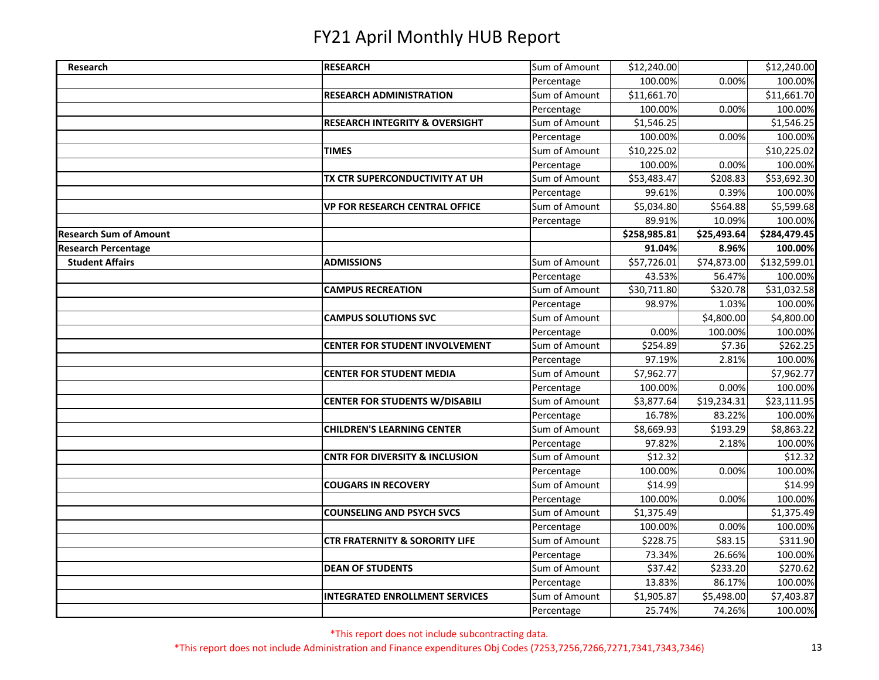| Research                      | <b>RESEARCH</b>                           | Sum of Amount | \$12,240.00  |             | \$12,240.00  |
|-------------------------------|-------------------------------------------|---------------|--------------|-------------|--------------|
|                               |                                           | Percentage    | 100.00%      | 0.00%       | 100.00%      |
|                               | <b>RESEARCH ADMINISTRATION</b>            | Sum of Amount | \$11,661.70  |             | \$11,661.70  |
|                               |                                           | Percentage    | 100.00%      | 0.00%       | 100.00%      |
|                               | <b>RESEARCH INTEGRITY &amp; OVERSIGHT</b> | Sum of Amount | \$1,546.25   |             | \$1,546.25   |
|                               |                                           | Percentage    | 100.00%      | 0.00%       | 100.00%      |
|                               | <b>TIMES</b>                              | Sum of Amount | \$10,225.02  |             | \$10,225.02  |
|                               |                                           | Percentage    | 100.00%      | 0.00%       | 100.00%      |
|                               | TX CTR SUPERCONDUCTIVITY AT UH            | Sum of Amount | \$53,483.47  | \$208.83    | \$53,692.30  |
|                               |                                           | Percentage    | 99.61%       | 0.39%       | 100.00%      |
|                               | <b>VP FOR RESEARCH CENTRAL OFFICE</b>     | Sum of Amount | \$5,034.80   | \$564.88    | \$5,599.68   |
|                               |                                           | Percentage    | 89.91%       | 10.09%      | 100.00%      |
| <b>Research Sum of Amount</b> |                                           |               | \$258,985.81 | \$25,493.64 | \$284,479.45 |
| <b>Research Percentage</b>    |                                           |               | 91.04%       | 8.96%       | 100.00%      |
| <b>Student Affairs</b>        | <b>ADMISSIONS</b>                         | Sum of Amount | \$57,726.01  | \$74,873.00 | \$132,599.01 |
|                               |                                           | Percentage    | 43.53%       | 56.47%      | 100.00%      |
|                               | <b>CAMPUS RECREATION</b>                  | Sum of Amount | \$30,711.80  | \$320.78    | \$31,032.58  |
|                               |                                           | Percentage    | 98.97%       | 1.03%       | 100.00%      |
|                               | <b>CAMPUS SOLUTIONS SVC</b>               | Sum of Amount |              | \$4,800.00  | \$4,800.00   |
|                               |                                           | Percentage    | 0.00%        | 100.00%     | 100.00%      |
|                               | <b>CENTER FOR STUDENT INVOLVEMENT</b>     | Sum of Amount | \$254.89     | \$7.36      | \$262.25     |
|                               |                                           | Percentage    | 97.19%       | 2.81%       | 100.00%      |
|                               | <b>CENTER FOR STUDENT MEDIA</b>           | Sum of Amount | \$7,962.77   |             | \$7,962.77   |
|                               |                                           | Percentage    | 100.00%      | 0.00%       | 100.00%      |
|                               | <b>CENTER FOR STUDENTS W/DISABILI</b>     | Sum of Amount | \$3,877.64   | \$19,234.31 | \$23,111.95  |
|                               |                                           | Percentage    | 16.78%       | 83.22%      | 100.00%      |
|                               | <b>CHILDREN'S LEARNING CENTER</b>         | Sum of Amount | \$8,669.93   | \$193.29    | \$8,863.22   |
|                               |                                           | Percentage    | 97.82%       | 2.18%       | 100.00%      |
|                               | <b>CNTR FOR DIVERSITY &amp; INCLUSION</b> | Sum of Amount | \$12.32      |             | \$12.32      |
|                               |                                           | Percentage    | 100.00%      | 0.00%       | 100.00%      |
|                               | <b>COUGARS IN RECOVERY</b>                | Sum of Amount | \$14.99      |             | \$14.99      |
|                               |                                           | Percentage    | 100.00%      | 0.00%       | 100.00%      |
|                               | <b>COUNSELING AND PSYCH SVCS</b>          | Sum of Amount | \$1,375.49   |             | \$1,375.49   |
|                               |                                           | Percentage    | 100.00%      | 0.00%       | 100.00%      |
|                               | <b>CTR FRATERNITY &amp; SORORITY LIFE</b> | Sum of Amount | \$228.75     | \$83.15     | \$311.90     |
|                               |                                           | Percentage    | 73.34%       | 26.66%      | 100.00%      |
|                               | <b>DEAN OF STUDENTS</b>                   | Sum of Amount | \$37.42      | \$233.20    | \$270.62     |
|                               |                                           | Percentage    | 13.83%       | 86.17%      | 100.00%      |
|                               | <b>INTEGRATED ENROLLMENT SERVICES</b>     | Sum of Amount | \$1,905.87   | \$5,498.00  | \$7,403.87   |
|                               |                                           | Percentage    | 25.74%       | 74.26%      | 100.00%      |

\*This report does not include subcontracting data.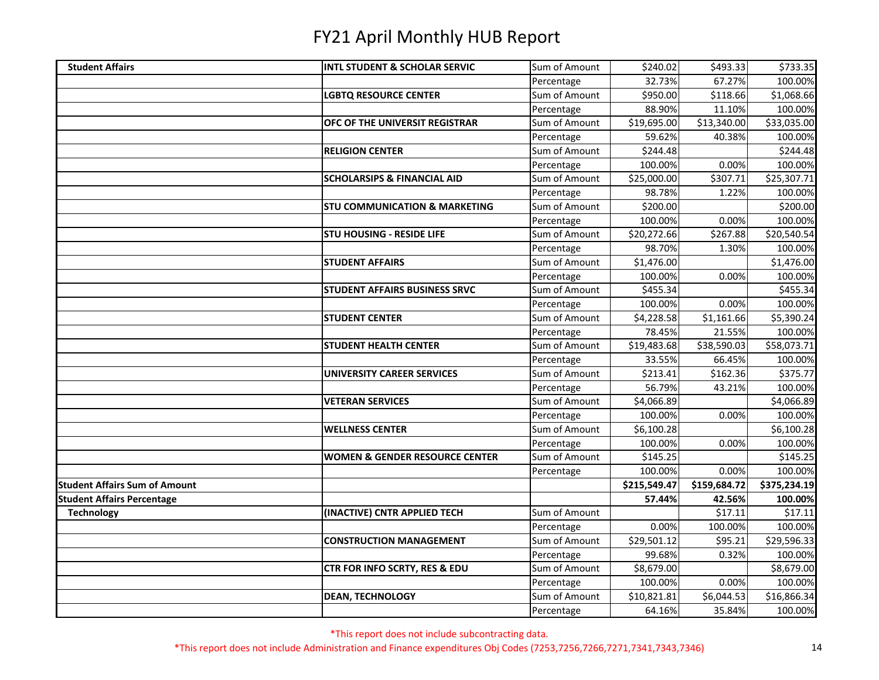| <b>Student Affairs</b>               | <b>INTL STUDENT &amp; SCHOLAR SERVIC</b>  | Sum of Amount | \$240.02     | \$493.33     | $\overline{$}733.35$ |
|--------------------------------------|-------------------------------------------|---------------|--------------|--------------|----------------------|
|                                      |                                           | Percentage    | 32.73%       | 67.27%       | 100.00%              |
|                                      | <b>LGBTQ RESOURCE CENTER</b>              | Sum of Amount | \$950.00     | \$118.66     | \$1,068.66           |
|                                      |                                           | Percentage    | 88.90%       | 11.10%       | 100.00%              |
|                                      | OFC OF THE UNIVERSIT REGISTRAR            | Sum of Amount | \$19,695.00  | \$13,340.00  | \$33,035.00          |
|                                      |                                           | Percentage    | 59.62%       | 40.38%       | 100.00%              |
|                                      | <b>RELIGION CENTER</b>                    | Sum of Amount | \$244.48     |              | \$244.48             |
|                                      |                                           | Percentage    | 100.00%      | 0.00%        | 100.00%              |
|                                      | <b>SCHOLARSIPS &amp; FINANCIAL AID</b>    | Sum of Amount | \$25,000.00  | \$307.71     | \$25,307.71          |
|                                      |                                           | Percentage    | 98.78%       | 1.22%        | 100.00%              |
|                                      | <b>STU COMMUNICATION &amp; MARKETING</b>  | Sum of Amount | \$200.00     |              | \$200.00             |
|                                      |                                           | Percentage    | 100.00%      | 0.00%        | 100.00%              |
|                                      | <b>STU HOUSING - RESIDE LIFE</b>          | Sum of Amount | \$20,272.66  | \$267.88     | \$20,540.54          |
|                                      |                                           | Percentage    | 98.70%       | 1.30%        | 100.00%              |
|                                      | <b>STUDENT AFFAIRS</b>                    | Sum of Amount | \$1,476.00   |              | \$1,476.00           |
|                                      |                                           | Percentage    | 100.00%      | 0.00%        | 100.00%              |
|                                      | <b>STUDENT AFFAIRS BUSINESS SRVC</b>      | Sum of Amount | \$455.34     |              | \$455.34             |
|                                      |                                           | Percentage    | 100.00%      | 0.00%        | 100.00%              |
|                                      | <b>STUDENT CENTER</b>                     | Sum of Amount | \$4,228.58   | \$1,161.66   | \$5,390.24           |
|                                      |                                           | Percentage    | 78.45%       | 21.55%       | 100.00%              |
|                                      | <b>STUDENT HEALTH CENTER</b>              | Sum of Amount | \$19,483.68  | \$38,590.03  | \$58,073.71          |
|                                      |                                           | Percentage    | 33.55%       | 66.45%       | 100.00%              |
|                                      | <b>UNIVERSITY CAREER SERVICES</b>         | Sum of Amount | \$213.41     | \$162.36     | \$375.77             |
|                                      |                                           | Percentage    | 56.79%       | 43.21%       | 100.00%              |
|                                      | <b>VETERAN SERVICES</b>                   | Sum of Amount | \$4,066.89   |              | \$4,066.89           |
|                                      |                                           | Percentage    | 100.00%      | 0.00%        | 100.00%              |
|                                      | <b>WELLNESS CENTER</b>                    | Sum of Amount | \$6,100.28   |              | \$6,100.28           |
|                                      |                                           | Percentage    | 100.00%      | 0.00%        | 100.00%              |
|                                      | <b>WOMEN &amp; GENDER RESOURCE CENTER</b> | Sum of Amount | \$145.25     |              | \$145.25             |
|                                      |                                           | Percentage    | 100.00%      | 0.00%        | 100.00%              |
| <b>Student Affairs Sum of Amount</b> |                                           |               | \$215,549.47 | \$159,684.72 | \$375,234.19         |
| <b>Student Affairs Percentage</b>    |                                           |               | 57.44%       | 42.56%       | 100.00%              |
| <b>Technology</b>                    | (INACTIVE) CNTR APPLIED TECH              | Sum of Amount |              | \$17.11      | \$17.11              |
|                                      |                                           | Percentage    | 0.00%        | 100.00%      | 100.00%              |
|                                      | <b>CONSTRUCTION MANAGEMENT</b>            | Sum of Amount | \$29,501.12  | \$95.21      | \$29,596.33          |
|                                      |                                           | Percentage    | 99.68%       | 0.32%        | 100.00%              |
|                                      | <b>CTR FOR INFO SCRTY, RES &amp; EDU</b>  | Sum of Amount | \$8,679.00   |              | \$8,679.00           |
|                                      |                                           | Percentage    | 100.00%      | 0.00%        | 100.00%              |
|                                      | <b>DEAN, TECHNOLOGY</b>                   | Sum of Amount | \$10,821.81  | \$6,044.53   | \$16,866.34          |
|                                      |                                           | Percentage    | 64.16%       | 35.84%       | 100.00%              |

\*This report does not include subcontracting data.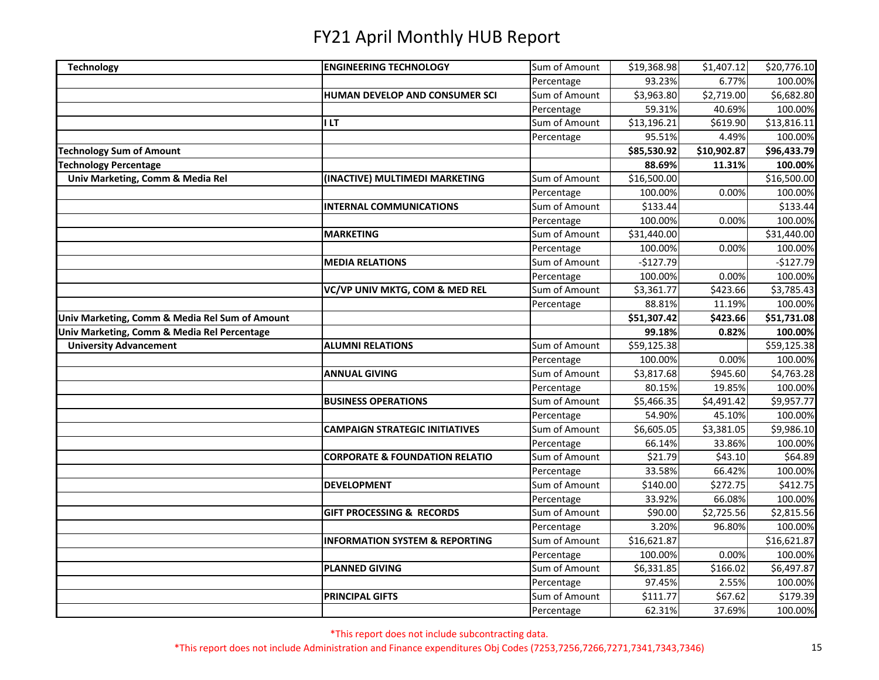| <b>Technology</b>                              | <b>ENGINEERING TECHNOLOGY</b>             | Sum of Amount | \$19,368.98 | \$1,407.12             | \$20,776.10            |
|------------------------------------------------|-------------------------------------------|---------------|-------------|------------------------|------------------------|
|                                                |                                           | Percentage    | 93.23%      | 6.77%                  | 100.00%                |
|                                                | HUMAN DEVELOP AND CONSUMER SCI            | Sum of Amount | \$3,963.80  | $\overline{$}2,719.00$ | \$6,682.80             |
|                                                |                                           | Percentage    | 59.31%      | 40.69%                 | 100.00%                |
|                                                | I LT                                      | Sum of Amount | \$13,196.21 | \$619.90               | \$13,816.11            |
|                                                |                                           | Percentage    | 95.51%      | 4.49%                  | 100.00%                |
| Technology Sum of Amount                       |                                           |               | \$85,530.92 | \$10,902.87            | \$96,433.79            |
| <b>Technology Percentage</b>                   |                                           |               | 88.69%      | 11.31%                 | 100.00%                |
| Univ Marketing, Comm & Media Rel               | (INACTIVE) MULTIMEDI MARKETING            | Sum of Amount | \$16,500.00 |                        | \$16,500.00            |
|                                                |                                           | Percentage    | 100.00%     | 0.00%                  | 100.00%                |
|                                                | <b>INTERNAL COMMUNICATIONS</b>            | Sum of Amount | \$133.44    |                        | \$133.44               |
|                                                |                                           | Percentage    | 100.00%     | 0.00%                  | 100.00%                |
|                                                | <b>MARKETING</b>                          | Sum of Amount | \$31,440.00 |                        | \$31,440.00            |
|                                                |                                           | Percentage    | 100.00%     | 0.00%                  | 100.00%                |
|                                                | <b>MEDIA RELATIONS</b>                    | Sum of Amount | $-$127.79$  |                        | $-$127.79$             |
|                                                |                                           | Percentage    | 100.00%     | 0.00%                  | 100.00%                |
|                                                | VC/VP UNIV MKTG, COM & MED REL            | Sum of Amount | \$3,361.77  | \$423.66               | $$3,785.\overline{43}$ |
|                                                |                                           | Percentage    | 88.81%      | 11.19%                 | 100.00%                |
| Univ Marketing, Comm & Media Rel Sum of Amount |                                           |               | \$51,307.42 | \$423.66               | \$51,731.08            |
| Univ Marketing, Comm & Media Rel Percentage    |                                           |               | 99.18%      | 0.82%                  | 100.00%                |
| <b>University Advancement</b>                  | <b>ALUMNI RELATIONS</b>                   | Sum of Amount | \$59,125.38 |                        | \$59,125.38            |
|                                                |                                           | Percentage    | 100.00%     | 0.00%                  | 100.00%                |
|                                                | <b>ANNUAL GIVING</b>                      | Sum of Amount | \$3,817.68  | \$945.60               | \$4,763.28             |
|                                                |                                           | Percentage    | 80.15%      | 19.85%                 | 100.00%                |
|                                                | <b>BUSINESS OPERATIONS</b>                | Sum of Amount | \$5,466.35  | \$4,491.42             | \$9,957.77             |
|                                                |                                           | Percentage    | 54.90%      | 45.10%                 | 100.00%                |
|                                                | <b>CAMPAIGN STRATEGIC INITIATIVES</b>     | Sum of Amount | \$6,605.05  | \$3,381.05             | \$9,986.10             |
|                                                |                                           | Percentage    | 66.14%      | 33.86%                 | 100.00%                |
|                                                | <b>CORPORATE &amp; FOUNDATION RELATIO</b> | Sum of Amount | \$21.79     | \$43.10                | \$64.89                |
|                                                |                                           | Percentage    | 33.58%      | 66.42%                 | 100.00%                |
|                                                | <b>DEVELOPMENT</b>                        | Sum of Amount | \$140.00    | \$272.75               | \$412.75               |
|                                                |                                           | Percentage    | 33.92%      | 66.08%                 | 100.00%                |
|                                                | <b>GIFT PROCESSING &amp; RECORDS</b>      | Sum of Amount | \$90.00     | \$2,725.56             | \$2,815.56             |
|                                                |                                           | Percentage    | 3.20%       | 96.80%                 | 100.00%                |
|                                                | <b>INFORMATION SYSTEM &amp; REPORTING</b> | Sum of Amount | \$16,621.87 |                        | \$16,621.87            |
|                                                |                                           | Percentage    | 100.00%     | 0.00%                  | 100.00%                |
|                                                | <b>PLANNED GIVING</b>                     | Sum of Amount | \$6,331.85  | \$166.02               | \$6,497.87             |
|                                                |                                           | Percentage    | 97.45%      | 2.55%                  | 100.00%                |
|                                                | <b>PRINCIPAL GIFTS</b>                    | Sum of Amount | \$111.77    | \$67.62                | \$179.39               |
|                                                |                                           | Percentage    | 62.31%      | 37.69%                 | 100.00%                |

\*This report does not include subcontracting data.